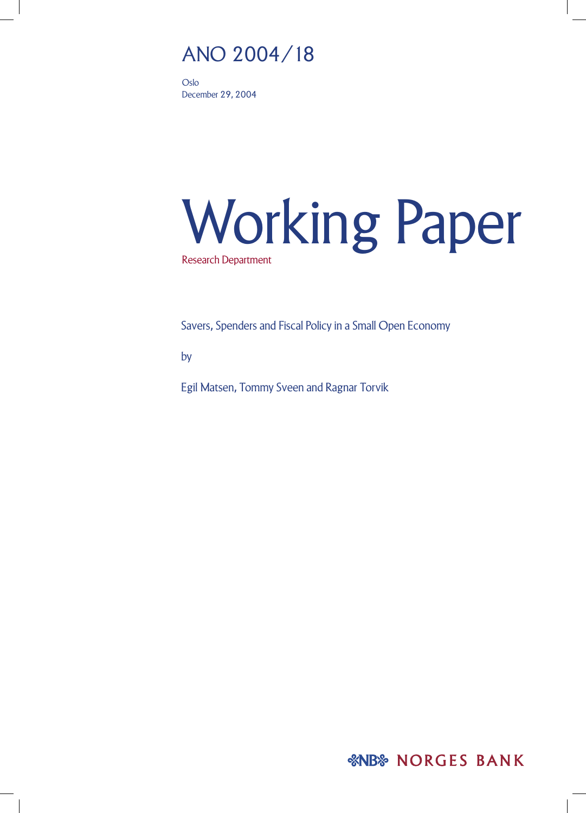# ANO 2004/18

Oslo December 29, 2004

# Working Paper Research Department

Savers, Spenders and Fiscal Policy in a Small Open Economy

by

Egil Matsen, Tommy Sveen and Ragnar Torvik

*&NB* NORGES BANK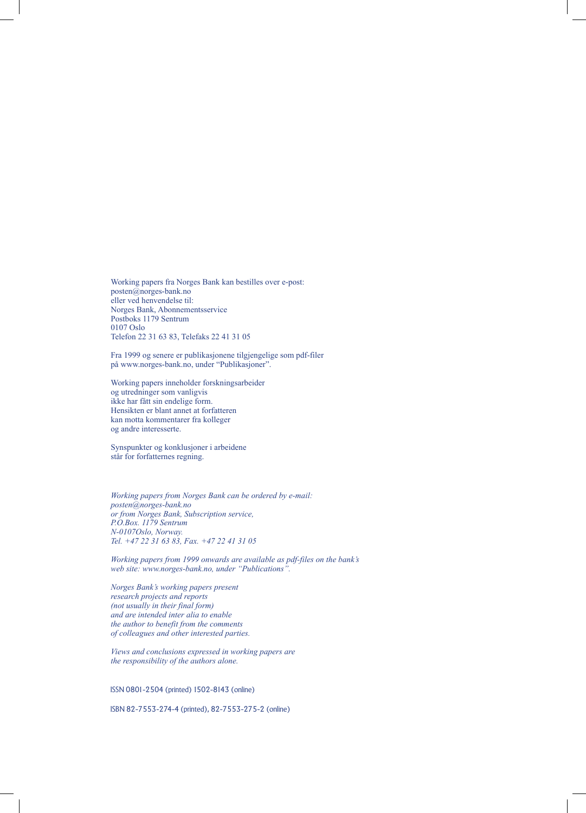Working papers fra Norges Bank kan bestilles over e-post: posten@norges-bank.no eller ved henvendelse til: Norges Bank, Abonnementsservice Postboks 1179 Sentrum 0107 Oslo Telefon 22 31 63 83, Telefaks 22 41 31 05

Fra 1999 og senere er publikasjonene tilgjengelige som pdf-filer på www.norges-bank.no, under "Publikasjoner".

Working papers inneholder forskningsarbeider og utredninger som vanligvis ikke har fått sin endelige form. Hensikten er blant annet at forfatteren kan motta kommentarer fra kolleger og andre interesserte.

Synspunkter og konklusjoner i arbeidene står for forfatternes regning.

*Working papers from Norges Bank can be ordered by e-mail: posten@norges-bank.no or from Norges Bank, Subscription service, P.O.Box. 1179 Sentrum N-0107Oslo, Norway. Tel. +47 22 31 63 83, Fax. +47 22 41 31 05*

*Working papers from 1999 onwards are available as pdf-files on the bank's web site: www.norges-bank.no, under "Publications".*

*Norges Bank's working papers present research projects and reports (not usually in their final form) and are intended inter alia to enable the author to benefit from the comments of colleagues and other interested parties.*

*Views and conclusions expressed in working papers are the responsibility of the authors alone.*

ISSN 0801-2504 (printed) 1502-8143 (online)

ISBN 82-7553-274-4 (printed), 82-7553-275-2 (online)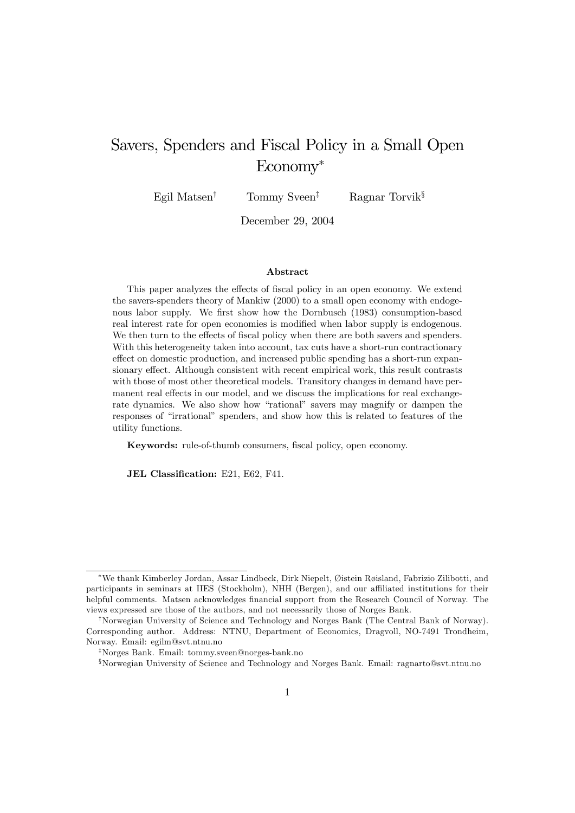# Savers, Spenders and Fiscal Policy in a Small Open Economy

Egil Matsen<sup>†</sup> Tommy Sveen<sup>‡</sup> Ragnar Torvik<sup>§</sup>

December 29, 2004

#### Abstract

This paper analyzes the effects of fiscal policy in an open economy. We extend the savers-spenders theory of Mankiw (2000) to a small open economy with endogenous labor supply. We first show how the Dornbusch (1983) consumption-based real interest rate for open economies is modified when labor supply is endogenous. We then turn to the effects of fiscal policy when there are both savers and spenders. With this heterogeneity taken into account, tax cuts have a short-run contractionary effect on domestic production, and increased public spending has a short-run expansionary effect. Although consistent with recent empirical work, this result contrasts with those of most other theoretical models. Transitory changes in demand have permanent real effects in our model, and we discuss the implications for real exchangerate dynamics. We also show how "rational" savers may magnify or dampen the responses of "irrational" spenders, and show how this is related to features of the utility functions.

Keywords: rule-of-thumb consumers, fiscal policy, open economy.

JEL Classification: E21, E62, F41.

<sup>\*</sup>We thank Kimberley Jordan, Assar Lindbeck, Dirk Niepelt, Øistein Røisland, Fabrizio Zilibotti, and participants in seminars at IIES (Stockholm), NHH (Bergen), and our affiliated institutions for their helpful comments. Matsen acknowledges financial support from the Research Council of Norway. The views expressed are those of the authors, and not necessarily those of Norges Bank.

<sup>&</sup>lt;sup>†</sup>Norwegian University of Science and Technology and Norges Bank (The Central Bank of Norway). Corresponding author. Address: NTNU, Department of Economics, Dragvoll, NO-7491 Trondheim, Norway. Email: egilm@svt.ntnu.no

<sup>&</sup>lt;sup>‡</sup>Norges Bank. Email: tommy.sveen@norges-bank.no

<sup>&</sup>lt;sup>§</sup>Norwegian University of Science and Technology and Norges Bank. Email: ragnarto@svt.ntnu.no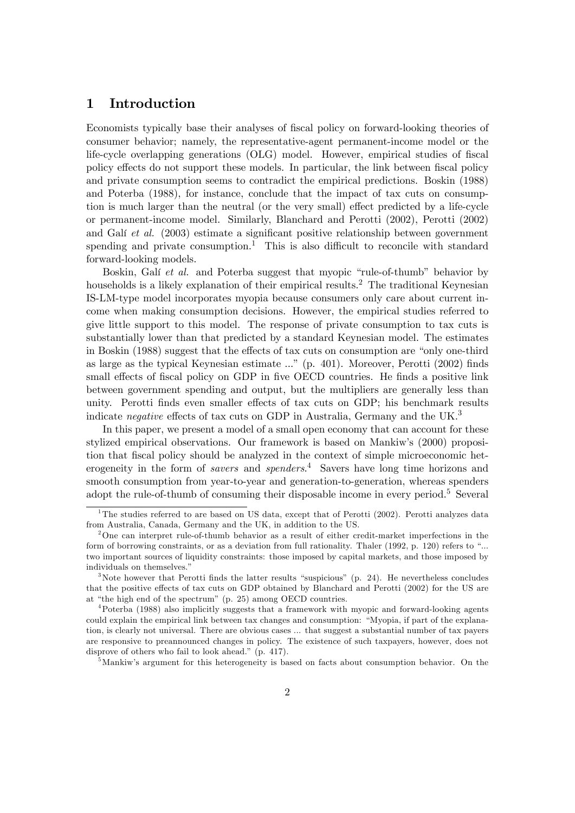# 1 Introduction

Economists typically base their analyses of fiscal policy on forward-looking theories of consumer behavior; namely, the representative-agent permanent-income model or the life-cycle overlapping generations (OLG) model. However, empirical studies of fiscal policy effects do not support these models. In particular, the link between fiscal policy and private consumption seems to contradict the empirical predictions. Boskin (1988) and Poterba (1988), for instance, conclude that the impact of tax cuts on consumption is much larger than the neutral (or the very small) effect predicted by a life-cycle or permanent-income model. Similarly, Blanchard and Perotti (2002), Perotti (2002) and Galí et al.  $(2003)$  estimate a significant positive relationship between government spending and private consumption.<sup>1</sup> This is also difficult to reconcile with standard forward-looking models.

Boskin, Galí et al. and Poterba suggest that myopic "rule-of-thumb" behavior by households is a likely explanation of their empirical results.<sup>2</sup> The traditional Keynesian IS-LM-type model incorporates myopia because consumers only care about current income when making consumption decisions. However, the empirical studies referred to give little support to this model. The response of private consumption to tax cuts is substantially lower than that predicted by a standard Keynesian model. The estimates in Boskin (1988) suggest that the effects of tax cuts on consumption are "only one-third as large as the typical Keynesian estimate  $\ldots$ <sup>n</sup> (p. 401). Moreover, Perotti (2002) finds small effects of fiscal policy on GDP in five OECD countries. He finds a positive link between government spending and output, but the multipliers are generally less than unity. Perotti finds even smaller effects of tax cuts on GDP; his benchmark results indicate negative effects of tax cuts on GDP in Australia, Germany and the UK.<sup>3</sup>

In this paper, we present a model of a small open economy that can account for these stylized empirical observations. Our framework is based on Mankiwís (2000) proposition that fiscal policy should be analyzed in the context of simple microeconomic heterogeneity in the form of *savers* and *spenders*.<sup>4</sup> Savers have long time horizons and smooth consumption from year-to-year and generation-to-generation, whereas spenders adopt the rule-of-thumb of consuming their disposable income in every period.<sup>5</sup> Several

<sup>5</sup>Mankiw's argument for this heterogeneity is based on facts about consumption behavior. On the

<sup>&</sup>lt;sup>1</sup>The studies referred to are based on US data, except that of Perotti (2002). Perotti analyzes data from Australia, Canada, Germany and the UK, in addition to the US.

<sup>&</sup>lt;sup>2</sup>One can interpret rule-of-thumb behavior as a result of either credit-market imperfections in the form of borrowing constraints, or as a deviation from full rationality. Thaler (1992, p. 120) refers to "... two important sources of liquidity constraints: those imposed by capital markets, and those imposed by individuals on themselves."

<sup>&</sup>lt;sup>3</sup>Note however that Perotti finds the latter results "suspicious" (p. 24). He nevertheless concludes that the positive effects of tax cuts on GDP obtained by Blanchard and Perotti (2002) for the US are at "the high end of the spectrum" (p. 25) among OECD countries.

<sup>4</sup>Poterba (1988) also implicitly suggests that a framework with myopic and forward-looking agents could explain the empirical link between tax changes and consumption: "Myopia, if part of the explanation, is clearly not universal. There are obvious cases ... that suggest a substantial number of tax payers are responsive to preannounced changes in policy. The existence of such taxpayers, however, does not disprove of others who fail to look ahead." (p. 417).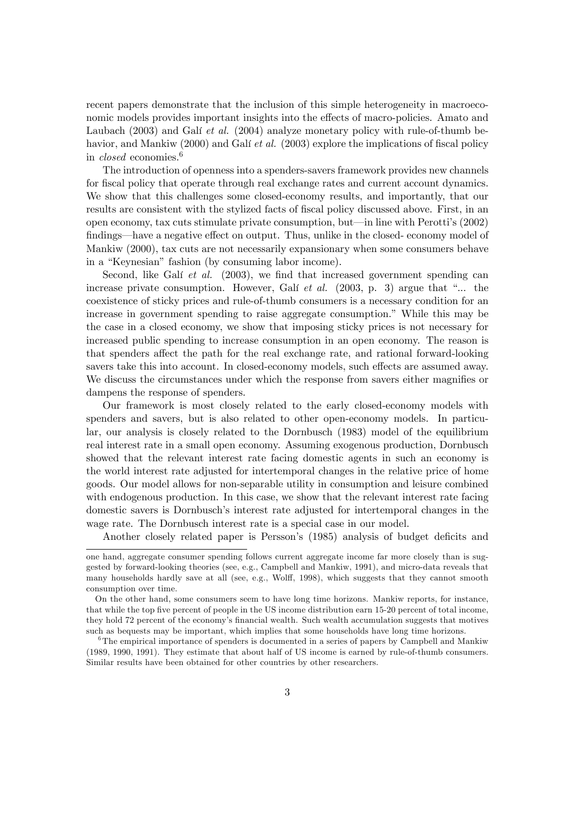recent papers demonstrate that the inclusion of this simple heterogeneity in macroeconomic models provides important insights into the effects of macro-policies. Amato and Laubach  $(2003)$  and Galí *et al.*  $(2004)$  analyze monetary policy with rule-of-thumb behavior, and Mankiw  $(2000)$  and Galí *et al.*  $(2003)$  explore the implications of fiscal policy in closed economies.<sup>6</sup>

The introduction of openness into a spenders-savers framework provides new channels for fiscal policy that operate through real exchange rates and current account dynamics. We show that this challenges some closed-economy results, and importantly, that our results are consistent with the stylized facts of fiscal policy discussed above. First, in an open economy, tax cuts stimulate private consumption, but—in line with Perotti's  $(2002)$ findings—have a negative effect on output. Thus, unlike in the closed- economy model of Mankiw (2000), tax cuts are not necessarily expansionary when some consumers behave in a "Keynesian" fashion (by consuming labor income).

Second, like Galí et al.  $(2003)$ , we find that increased government spending can increase private consumption. However, Gali et al.  $(2003, p. 3)$  argue that "... the coexistence of sticky prices and rule-of-thumb consumers is a necessary condition for an increase in government spending to raise aggregate consumption.î While this may be the case in a closed economy, we show that imposing sticky prices is not necessary for increased public spending to increase consumption in an open economy. The reason is that spenders affect the path for the real exchange rate, and rational forward-looking savers take this into account. In closed-economy models, such effects are assumed away. We discuss the circumstances under which the response from savers either magnifies or dampens the response of spenders.

Our framework is most closely related to the early closed-economy models with spenders and savers, but is also related to other open-economy models. In particular, our analysis is closely related to the Dornbusch (1983) model of the equilibrium real interest rate in a small open economy. Assuming exogenous production, Dornbusch showed that the relevant interest rate facing domestic agents in such an economy is the world interest rate adjusted for intertemporal changes in the relative price of home goods. Our model allows for non-separable utility in consumption and leisure combined with endogenous production. In this case, we show that the relevant interest rate facing domestic savers is Dornbusch's interest rate adjusted for intertemporal changes in the wage rate. The Dornbusch interest rate is a special case in our model.

Another closely related paper is Persson's (1985) analysis of budget deficits and

one hand, aggregate consumer spending follows current aggregate income far more closely than is suggested by forward-looking theories (see, e.g., Campbell and Mankiw, 1991), and micro-data reveals that many households hardly save at all (see, e.g., Wolff, 1998), which suggests that they cannot smooth consumption over time.

On the other hand, some consumers seem to have long time horizons. Mankiw reports, for instance, that while the top five percent of people in the US income distribution earn 15-20 percent of total income, they hold 72 percent of the economy's financial wealth. Such wealth accumulation suggests that motives such as bequests may be important, which implies that some households have long time horizons.

<sup>&</sup>lt;sup>6</sup>The empirical importance of spenders is documented in a series of papers by Campbell and Mankiw (1989, 1990, 1991). They estimate that about half of US income is earned by rule-of-thumb consumers. Similar results have been obtained for other countries by other researchers.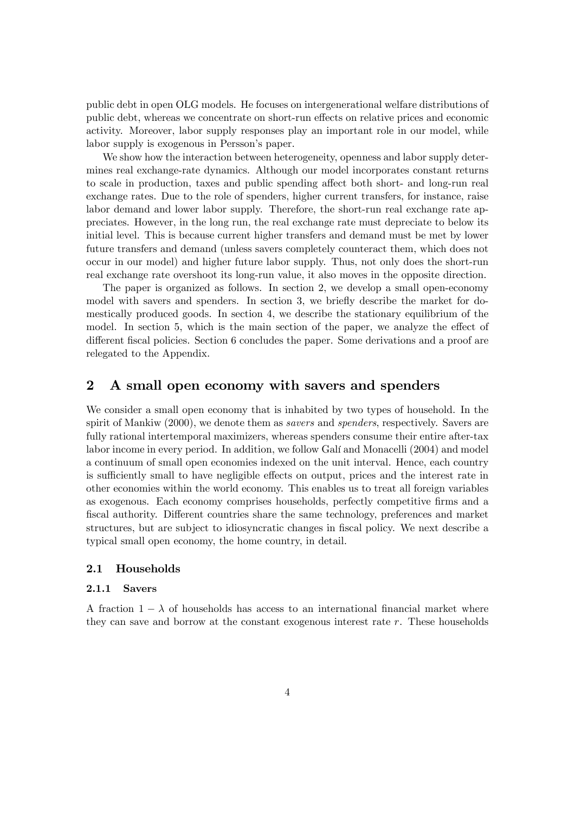public debt in open OLG models. He focuses on intergenerational welfare distributions of public debt, whereas we concentrate on short-run effects on relative prices and economic activity. Moreover, labor supply responses play an important role in our model, while labor supply is exogenous in Persson's paper.

We show how the interaction between heterogeneity, openness and labor supply determines real exchange-rate dynamics. Although our model incorporates constant returns to scale in production, taxes and public spending affect both short- and long-run real exchange rates. Due to the role of spenders, higher current transfers, for instance, raise labor demand and lower labor supply. Therefore, the short-run real exchange rate appreciates. However, in the long run, the real exchange rate must depreciate to below its initial level. This is because current higher transfers and demand must be met by lower future transfers and demand (unless savers completely counteract them, which does not occur in our model) and higher future labor supply. Thus, not only does the short-run real exchange rate overshoot its long-run value, it also moves in the opposite direction.

The paper is organized as follows. In section 2, we develop a small open-economy model with savers and spenders. In section 3, we briefly describe the market for domestically produced goods. In section 4, we describe the stationary equilibrium of the model. In section 5, which is the main section of the paper, we analyze the effect of different fiscal policies. Section 6 concludes the paper. Some derivations and a proof are relegated to the Appendix.

# 2 A small open economy with savers and spenders

We consider a small open economy that is inhabited by two types of household. In the spirit of Mankiw (2000), we denote them as *savers* and *spenders*, respectively. Savers are fully rational intertemporal maximizers, whereas spenders consume their entire after-tax labor income in every period. In addition, we follow Galí and Monacelli (2004) and model a continuum of small open economies indexed on the unit interval. Hence, each country is sufficiently small to have negligible effects on output, prices and the interest rate in other economies within the world economy. This enables us to treat all foreign variables as exogenous. Each economy comprises households, perfectly competitive Örms and a fiscal authority. Different countries share the same technology, preferences and market structures, but are subject to idiosyncratic changes in fiscal policy. We next describe a typical small open economy, the home country, in detail.

#### 2.1 Households

#### 2.1.1 Savers

A fraction  $1 - \lambda$  of households has access to an international financial market where they can save and borrow at the constant exogenous interest rate r. These households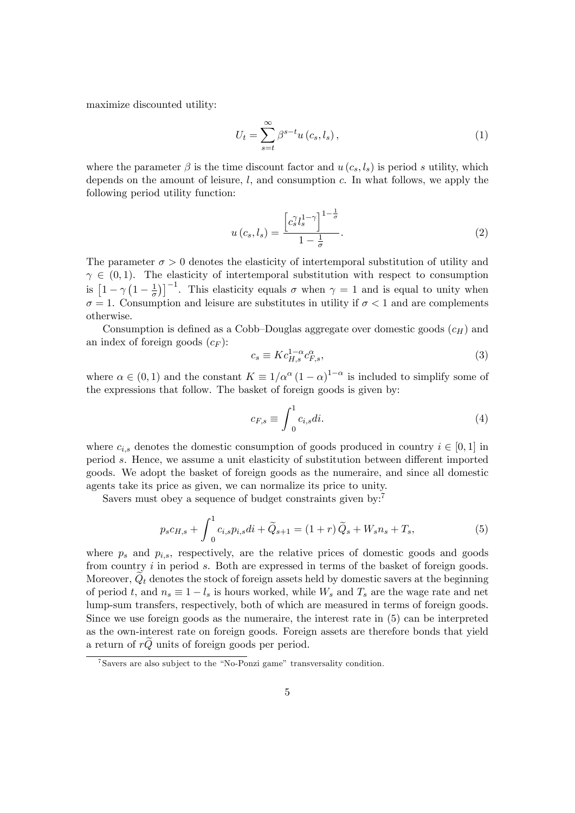maximize discounted utility:

$$
U_t = \sum_{s=t}^{\infty} \beta^{s-t} u(c_s, l_s), \qquad (1)
$$

where the parameter  $\beta$  is the time discount factor and  $u(c_s, l_s)$  is period s utility, which depends on the amount of leisure,  $l$ , and consumption  $c$ . In what follows, we apply the following period utility function:

$$
u\left(c_s, l_s\right) = \frac{\left[c_s^{\gamma} l_s^{1-\gamma}\right]^{1-\frac{1}{\sigma}}}{1-\frac{1}{\sigma}}.\tag{2}
$$

The parameter  $\sigma > 0$  denotes the elasticity of intertemporal substitution of utility and  $\gamma \in (0, 1)$ . The elasticity of intertemporal substitution with respect to consumption is  $\left[1-\gamma\left(1-\frac{1}{\sigma}\right)\right]$  $\left(\frac{1}{\sigma}\right)^{-1}$ . This elasticity equals  $\sigma$  when  $\gamma = 1$  and is equal to unity when  $\sigma = 1$ . Consumption and leisure are substitutes in utility if  $\sigma < 1$  and are complements otherwise.

Consumption is defined as a Cobb-Douglas aggregate over domestic goods  $(c_H)$  and an index of foreign goods  $(c_F)$ :

$$
c_s \equiv K c_{H,s}^{1-\alpha} c_{F,s}^{\alpha},\tag{3}
$$

where  $\alpha \in (0, 1)$  and the constant  $K \equiv 1/\alpha^{\alpha} (1 - \alpha)^{1 - \alpha}$  is included to simplify some of the expressions that follow. The basket of foreign goods is given by:

$$
c_{F,s} \equiv \int_0^1 c_{i,s} di. \tag{4}
$$

where  $c_{i,s}$  denotes the domestic consumption of goods produced in country  $i \in [0, 1]$  in period s. Hence, we assume a unit elasticity of substitution between different imported goods. We adopt the basket of foreign goods as the numeraire, and since all domestic agents take its price as given, we can normalize its price to unity.

Savers must obey a sequence of budget constraints given by:<sup>7</sup>

$$
p_s c_{H,s} + \int_0^1 c_{i,s} p_{i,s} di + \widetilde{Q}_{s+1} = (1+r) \widetilde{Q}_s + W_s n_s + T_s, \tag{5}
$$

where  $p_s$  and  $p_{i,s}$ , respectively, are the relative prices of domestic goods and goods from country  $i$  in period  $s$ . Both are expressed in terms of the basket of foreign goods. Moreover,  $Q_t$  denotes the stock of foreign assets held by domestic savers at the beginning of period t, and  $n_s \equiv 1 - l_s$  is hours worked, while  $W_s$  and  $T_s$  are the wage rate and net lump-sum transfers, respectively, both of which are measured in terms of foreign goods. Since we use foreign goods as the numeraire, the interest rate in (5) can be interpreted as the own-interest rate on foreign goods. Foreign assets are therefore bonds that yield a return of  $r\ddot{Q}$  units of foreign goods per period.

 $7$ Savers are also subject to the "No-Ponzi game" transversality condition.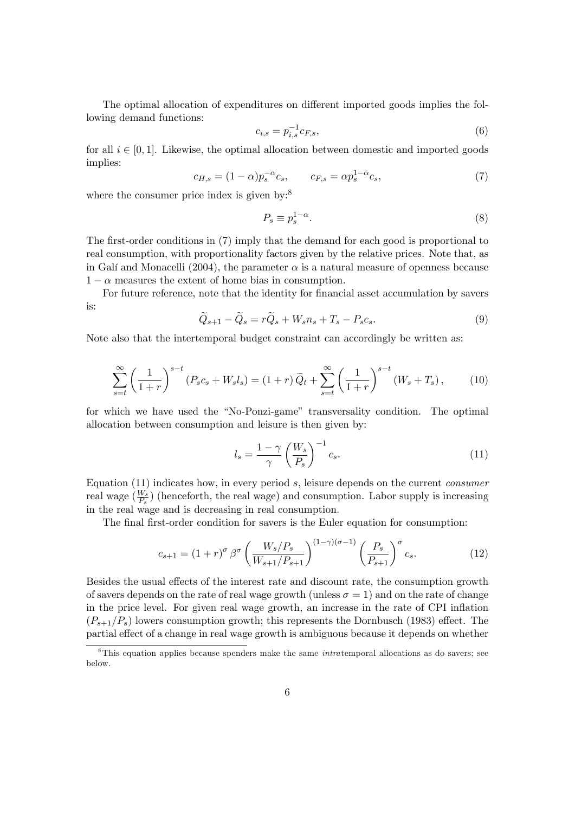The optimal allocation of expenditures on different imported goods implies the following demand functions:

$$
c_{i,s} = p_{i,s}^{-1} c_{F,s},\tag{6}
$$

for all  $i \in [0, 1]$ . Likewise, the optimal allocation between domestic and imported goods implies:

$$
c_{H,s} = (1 - \alpha)p_s^{-\alpha}c_s, \qquad c_{F,s} = \alpha p_s^{1 - \alpha}c_s,
$$
 (7)

where the consumer price index is given by: $8$ 

$$
P_s \equiv p_s^{1-\alpha}.\tag{8}
$$

The first-order conditions in (7) imply that the demand for each good is proportional to real consumption, with proportionality factors given by the relative prices. Note that, as in Galí and Monacelli (2004), the parameter  $\alpha$  is a natural measure of openness because  $1 - \alpha$  measures the extent of home bias in consumption.

For future reference, note that the identity for financial asset accumulation by savers is:

$$
\widetilde{Q}_{s+1} - \widetilde{Q}_s = r\widetilde{Q}_s + W_s n_s + T_s - P_s c_s. \tag{9}
$$

Note also that the intertemporal budget constraint can accordingly be written as:

$$
\sum_{s=t}^{\infty} \left(\frac{1}{1+r}\right)^{s-t} (P_s c_s + W_s l_s) = (1+r)\widetilde{Q}_t + \sum_{s=t}^{\infty} \left(\frac{1}{1+r}\right)^{s-t} (W_s + T_s), \tag{10}
$$

for which we have used the "No-Ponzi-game" transversality condition. The optimal allocation between consumption and leisure is then given by:

$$
l_s = \frac{1 - \gamma}{\gamma} \left(\frac{W_s}{P_s}\right)^{-1} c_s.
$$
\n(11)

Equation  $(11)$  indicates how, in every period s, leisure depends on the current *consumer* real wage  $(\frac{W_s}{P_s})$  (henceforth, the real wage) and consumption. Labor supply is increasing in the real wage and is decreasing in real consumption.

The final first-order condition for savers is the Euler equation for consumption:

$$
c_{s+1} = (1+r)^{\sigma} \beta^{\sigma} \left(\frac{W_s/P_s}{W_{s+1}/P_{s+1}}\right)^{(1-\gamma)(\sigma-1)} \left(\frac{P_s}{P_{s+1}}\right)^{\sigma} c_s.
$$
 (12)

Besides the usual effects of the interest rate and discount rate, the consumption growth of savers depends on the rate of real wage growth (unless  $\sigma = 1$ ) and on the rate of change in the price level. For given real wage growth, an increase in the rate of CPI inflation  $(P_{s+1}/P_s)$  lowers consumption growth; this represents the Dornbusch (1983) effect. The partial effect of a change in real wage growth is ambiguous because it depends on whether

<sup>&</sup>lt;sup>8</sup>This equation applies because spenders make the same *intratemporal allocations* as do savers; see below.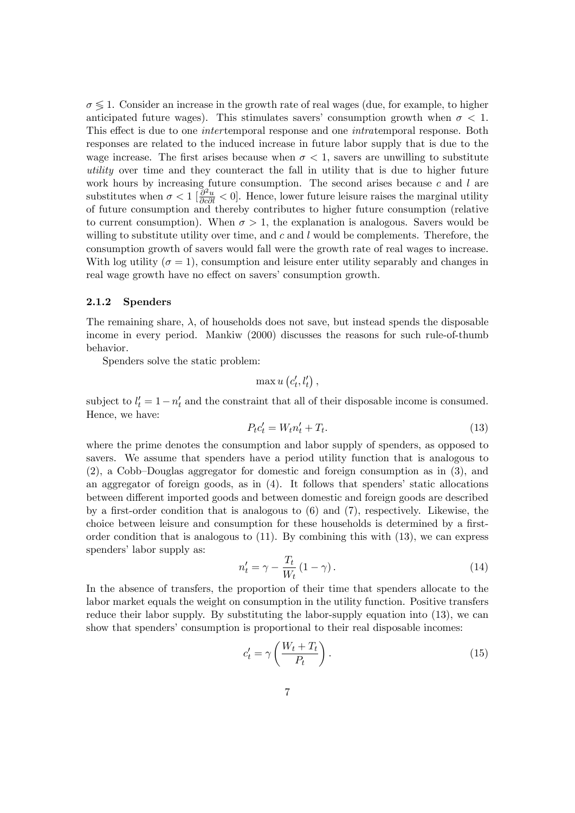$\sigma \leq 1$ . Consider an increase in the growth rate of real wages (due, for example, to higher anticipated future wages). This stimulates savers' consumption growth when  $\sigma < 1$ . This effect is due to one *inter* temporal response and one *intratemporal* response. Both responses are related to the induced increase in future labor supply that is due to the wage increase. The first arises because when  $\sigma < 1$ , savers are unwilling to substitute utility over time and they counteract the fall in utility that is due to higher future work hours by increasing future consumption. The second arises because  $c$  and  $l$  are substitutes when  $\sigma < 1$  [ $\frac{\partial^2 u}{\partial c \partial l} < 0$ ]. Hence, lower future leisure raises the marginal utility of future consumption and thereby contributes to higher future consumption (relative to current consumption). When  $\sigma > 1$ , the explanation is analogous. Savers would be willing to substitute utility over time, and  $c$  and  $l$  would be complements. Therefore, the consumption growth of savers would fall were the growth rate of real wages to increase. With log utility ( $\sigma = 1$ ), consumption and leisure enter utility separably and changes in real wage growth have no effect on savers' consumption growth.

#### 2.1.2 Spenders

The remaining share,  $\lambda$ , of households does not save, but instead spends the disposable income in every period. Mankiw (2000) discusses the reasons for such rule-of-thumb behavior.

Spenders solve the static problem:

$$
\max u\left(c'_{t}, l'_{t}\right),
$$

subject to  $l'_t = 1 - n'_t$  and the constraint that all of their disposable income is consumed. Hence, we have:

$$
P_t c_t' = W_t n_t' + T_t. \tag{13}
$$

where the prime denotes the consumption and labor supply of spenders, as opposed to savers. We assume that spenders have a period utility function that is analogous to  $(2)$ , a Cobb–Douglas aggregator for domestic and foreign consumption as in  $(3)$ , and an aggregator of foreign goods, as in  $(4)$ . It follows that spenders' static allocations between different imported goods and between domestic and foreign goods are described by a first-order condition that is analogous to  $(6)$  and  $(7)$ , respectively. Likewise, the choice between leisure and consumption for these households is determined by a firstorder condition that is analogous to  $(11)$ . By combining this with  $(13)$ , we can express spenders' labor supply as:

$$
n_t' = \gamma - \frac{T_t}{W_t} (1 - \gamma). \tag{14}
$$

In the absence of transfers, the proportion of their time that spenders allocate to the labor market equals the weight on consumption in the utility function. Positive transfers reduce their labor supply. By substituting the labor-supply equation into (13), we can show that spenders' consumption is proportional to their real disposable incomes:

$$
c_t' = \gamma \left(\frac{W_t + T_t}{P_t}\right). \tag{15}
$$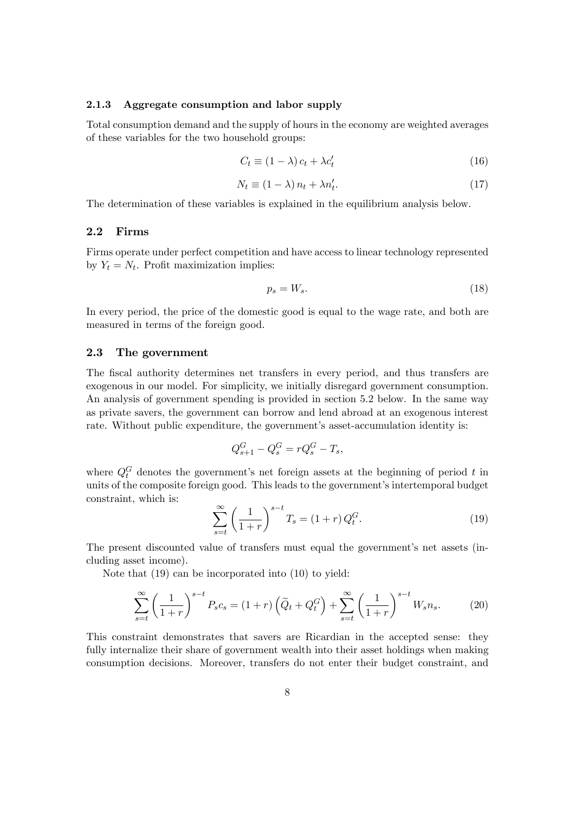#### 2.1.3 Aggregate consumption and labor supply

Total consumption demand and the supply of hours in the economy are weighted averages of these variables for the two household groups:

$$
C_t \equiv (1 - \lambda) c_t + \lambda c'_t \tag{16}
$$

$$
N_t \equiv (1 - \lambda) n_t + \lambda n'_t. \tag{17}
$$

The determination of these variables is explained in the equilibrium analysis below.

#### 2.2 Firms

Firms operate under perfect competition and have access to linear technology represented by  $Y_t = N_t$ . Profit maximization implies:

$$
p_s = W_s. \tag{18}
$$

In every period, the price of the domestic good is equal to the wage rate, and both are measured in terms of the foreign good.

#### 2.3 The government

The fiscal authority determines net transfers in every period, and thus transfers are exogenous in our model. For simplicity, we initially disregard government consumption. An analysis of government spending is provided in section 5.2 below. In the same way as private savers, the government can borrow and lend abroad at an exogenous interest rate. Without public expenditure, the government's asset-accumulation identity is:

$$
Q_{s+1}^G - Q_s^G = rQ_s^G - T_s,
$$

where  $Q_t^G$  denotes the government's net foreign assets at the beginning of period t in units of the composite foreign good. This leads to the government's intertemporal budget constraint, which is:

$$
\sum_{s=t}^{\infty} \left(\frac{1}{1+r}\right)^{s-t} T_s = (1+r) Q_t^G.
$$
 (19)

The present discounted value of transfers must equal the government's net assets (including asset income).

Note that (19) can be incorporated into (10) to yield:

$$
\sum_{s=t}^{\infty} \left(\frac{1}{1+r}\right)^{s-t} P_s c_s = (1+r) \left(\tilde{Q}_t + Q_t^G\right) + \sum_{s=t}^{\infty} \left(\frac{1}{1+r}\right)^{s-t} W_s n_s.
$$
 (20)

This constraint demonstrates that savers are Ricardian in the accepted sense: they fully internalize their share of government wealth into their asset holdings when making consumption decisions. Moreover, transfers do not enter their budget constraint, and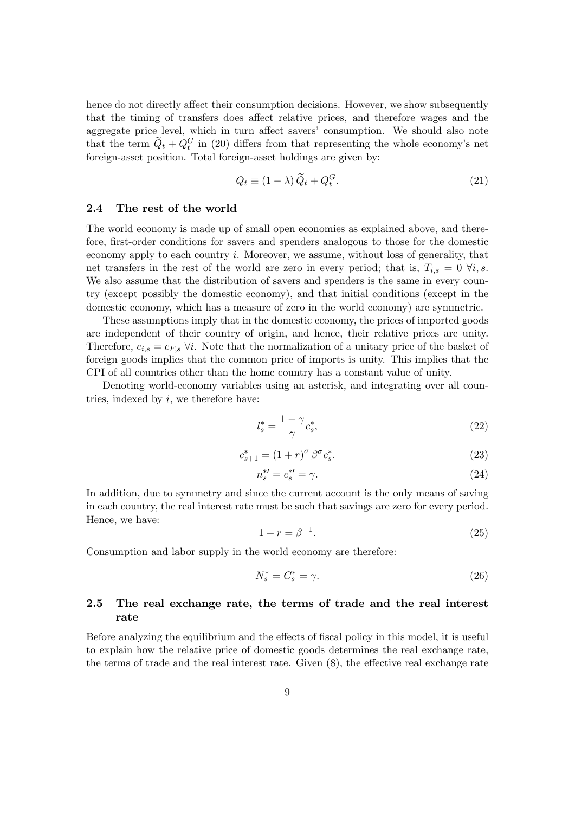hence do not directly affect their consumption decisions. However, we show subsequently that the timing of transfers does affect relative prices, and therefore wages and the aggregate price level, which in turn affect savers' consumption. We should also note that the term  $\tilde{Q}_t + Q_t^G$  in (20) differs from that representing the whole economy's net foreign-asset position. Total foreign-asset holdings are given by:

$$
Q_t \equiv (1 - \lambda) \tilde{Q}_t + Q_t^G. \tag{21}
$$

#### 2.4 The rest of the world

The world economy is made up of small open economies as explained above, and therefore, first-order conditions for savers and spenders analogous to those for the domestic economy apply to each country i. Moreover, we assume, without loss of generality, that net transfers in the rest of the world are zero in every period; that is,  $T_{i,s} = 0 \; \forall i, s$ . We also assume that the distribution of savers and spenders is the same in every country (except possibly the domestic economy), and that initial conditions (except in the domestic economy, which has a measure of zero in the world economy) are symmetric.

These assumptions imply that in the domestic economy, the prices of imported goods are independent of their country of origin, and hence, their relative prices are unity. Therefore,  $c_{i,s} = c_{F,s}$   $\forall i$ . Note that the normalization of a unitary price of the basket of foreign goods implies that the common price of imports is unity. This implies that the CPI of all countries other than the home country has a constant value of unity.

Denoting world-economy variables using an asterisk, and integrating over all countries, indexed by  $i$ , we therefore have:

$$
l_s^* = \frac{1 - \gamma}{\gamma} c_s^*,\tag{22}
$$

$$
c_{s+1}^* = (1+r)^\sigma \beta^\sigma c_s^*.
$$
 (23)

$$
n_s^{*\prime} = c_s^{*\prime} = \gamma. \tag{24}
$$

In addition, due to symmetry and since the current account is the only means of saving in each country, the real interest rate must be such that savings are zero for every period. Hence, we have:

$$
1 + r = \beta^{-1}.\tag{25}
$$

Consumption and labor supply in the world economy are therefore:

$$
N_s^* = C_s^* = \gamma. \tag{26}
$$

### 2.5 The real exchange rate, the terms of trade and the real interest rate

Before analyzing the equilibrium and the effects of fiscal policy in this model, it is useful to explain how the relative price of domestic goods determines the real exchange rate, the terms of trade and the real interest rate. Given  $(8)$ , the effective real exchange rate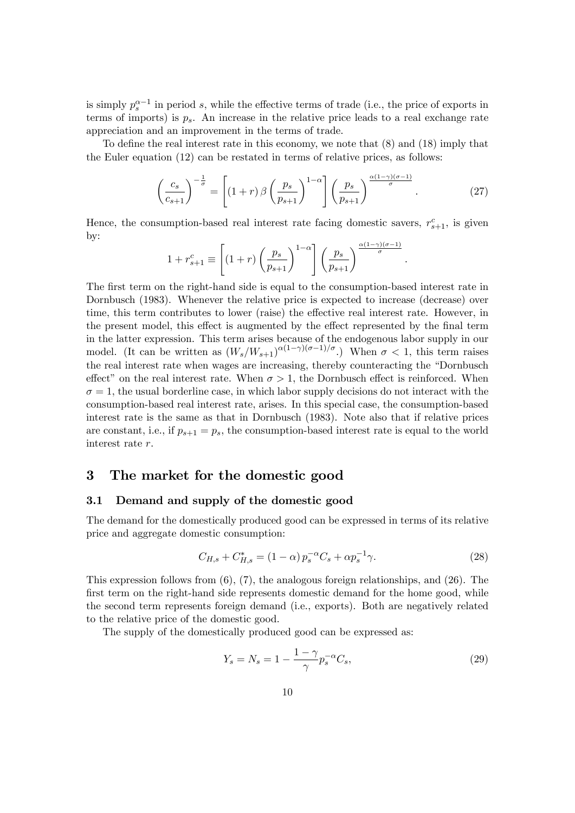is simply  $p_s^{\alpha-1}$  in period s, while the effective terms of trade (i.e., the price of exports in terms of imports) is  $p_s$ . An increase in the relative price leads to a real exchange rate appreciation and an improvement in the terms of trade.

To define the real interest rate in this economy, we note that  $(8)$  and  $(18)$  imply that the Euler equation (12) can be restated in terms of relative prices, as follows:

$$
\left(\frac{c_s}{c_{s+1}}\right)^{-\frac{1}{\sigma}} = \left[ (1+r)\beta \left(\frac{p_s}{p_{s+1}}\right)^{1-\alpha} \right] \left(\frac{p_s}{p_{s+1}}\right)^{\frac{\alpha(1-\gamma)(\sigma-1)}{\sigma}}.\tag{27}
$$

:

Hence, the consumption-based real interest rate facing domestic savers,  $r_{s+1}^c$ , is given by:

$$
1 + r_{s+1}^c \equiv \left[ (1+r) \left( \frac{p_s}{p_{s+1}} \right)^{1-\alpha} \right] \left( \frac{p_s}{p_{s+1}} \right)^{\frac{\alpha(1-\gamma)(\sigma-1)}{\sigma}}
$$

The first term on the right-hand side is equal to the consumption-based interest rate in Dornbusch (1983). Whenever the relative price is expected to increase (decrease) over time, this term contributes to lower (raise) the effective real interest rate. However, in the present model, this effect is augmented by the effect represented by the final term in the latter expression. This term arises because of the endogenous labor supply in our model. (It can be written as  $(W_s/W_{s+1})^{\alpha(1-\gamma)(\sigma-1)/\sigma}$ .) When  $\sigma < 1$ , this term raises the real interest rate when wages are increasing, thereby counteracting the "Dornbusch effect" on the real interest rate. When  $\sigma > 1$ , the Dornbusch effect is reinforced. When  $\sigma = 1$ , the usual borderline case, in which labor supply decisions do not interact with the consumption-based real interest rate, arises. In this special case, the consumption-based interest rate is the same as that in Dornbusch (1983). Note also that if relative prices are constant, i.e., if  $p_{s+1} = p_s$ , the consumption-based interest rate is equal to the world interest rate r.

#### 3 The market for the domestic good

#### 3.1 Demand and supply of the domestic good

The demand for the domestically produced good can be expressed in terms of its relative price and aggregate domestic consumption:

$$
C_{H,s} + C_{H,s}^* = (1 - \alpha) p_s^{-\alpha} C_s + \alpha p_s^{-1} \gamma.
$$
 (28)

This expression follows from  $(6)$ ,  $(7)$ , the analogous foreign relationships, and  $(26)$ . The first term on the right-hand side represents domestic demand for the home good, while the second term represents foreign demand (i.e., exports). Both are negatively related to the relative price of the domestic good.

The supply of the domestically produced good can be expressed as:

$$
Y_s = N_s = 1 - \frac{1 - \gamma}{\gamma} p_s^{-\alpha} C_s,\tag{29}
$$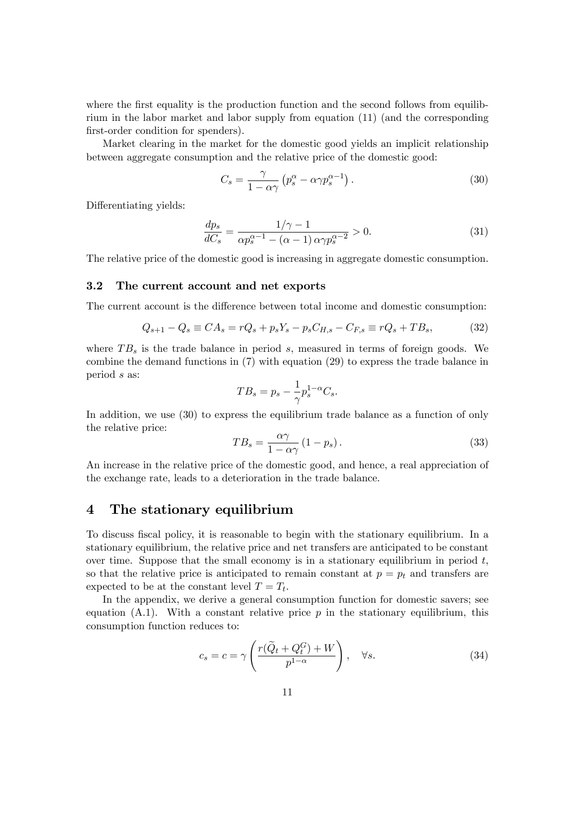where the first equality is the production function and the second follows from equilibrium in the labor market and labor supply from equation (11) (and the corresponding first-order condition for spenders).

Market clearing in the market for the domestic good yields an implicit relationship between aggregate consumption and the relative price of the domestic good:

$$
C_s = \frac{\gamma}{1 - \alpha \gamma} \left( p_s^{\alpha} - \alpha \gamma p_s^{\alpha - 1} \right). \tag{30}
$$

Differentiating yields:

$$
\frac{dp_s}{dC_s} = \frac{1/\gamma - 1}{\alpha p_s^{\alpha - 1} - (\alpha - 1)\alpha \gamma p_s^{\alpha - 2}} > 0.
$$
\n(31)

The relative price of the domestic good is increasing in aggregate domestic consumption.

#### 3.2 The current account and net exports

The current account is the difference between total income and domestic consumption:

$$
Q_{s+1} - Q_s \equiv CA_s = rQ_s + p_s Y_s - p_s C_{H,s} - C_{F,s} \equiv rQ_s + TB_s, \tag{32}
$$

where  $TB<sub>s</sub>$  is the trade balance in period s, measured in terms of foreign goods. We combine the demand functions in (7) with equation (29) to express the trade balance in period s as:

$$
TB_s = p_s - \frac{1}{\gamma} p_s^{1-\alpha} C_s.
$$

In addition, we use (30) to express the equilibrium trade balance as a function of only the relative price:

$$
TB_s = \frac{\alpha \gamma}{1 - \alpha \gamma} (1 - p_s). \tag{33}
$$

An increase in the relative price of the domestic good, and hence, a real appreciation of the exchange rate, leads to a deterioration in the trade balance.

# 4 The stationary equilibrium

To discuss fiscal policy, it is reasonable to begin with the stationary equilibrium. In a stationary equilibrium, the relative price and net transfers are anticipated to be constant over time. Suppose that the small economy is in a stationary equilibrium in period  $t$ , so that the relative price is anticipated to remain constant at  $p = p_t$  and transfers are expected to be at the constant level  $T = T_t$ .

In the appendix, we derive a general consumption function for domestic savers; see equation  $(A.1)$ . With a constant relative price p in the stationary equilibrium, this consumption function reduces to:

$$
c_s = c = \gamma \left( \frac{r(\tilde{Q}_t + Q_t^G) + W}{p^{1-\alpha}} \right), \quad \forall s.
$$
 (34)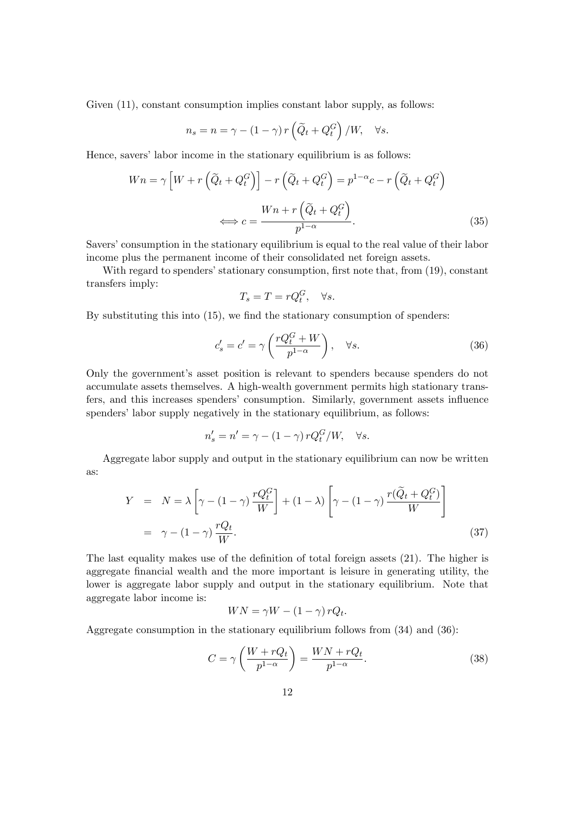Given  $(11)$ , constant consumption implies constant labor supply, as follows:

$$
n_s = n = \gamma - (1 - \gamma) r \left( \widetilde{Q}_t + Q_t^G \right) / W, \quad \forall s.
$$

Hence, savers' labor income in the stationary equilibrium is as follows:

$$
Wn = \gamma \left[ W + r \left( \tilde{Q}_t + Q_t^G \right) \right] - r \left( \tilde{Q}_t + Q_t^G \right) = p^{1-\alpha} c - r \left( \tilde{Q}_t + Q_t^G \right)
$$

$$
\iff c = \frac{Wn + r \left( \tilde{Q}_t + Q_t^G \right)}{p^{1-\alpha}}.
$$
(35)

Savers' consumption in the stationary equilibrium is equal to the real value of their labor income plus the permanent income of their consolidated net foreign assets.

With regard to spenders' stationary consumption, first note that, from  $(19)$ , constant transfers imply:

$$
T_s = T = rQ_t^G, \quad \forall s.
$$

By substituting this into  $(15)$ , we find the stationary consumption of spenders:

$$
c'_{s} = c' = \gamma \left( \frac{rQ_t^G + W}{p^{1-\alpha}} \right), \quad \forall s.
$$
 (36)

Only the governmentís asset position is relevant to spenders because spenders do not accumulate assets themselves. A high-wealth government permits high stationary transfers, and this increases spenders' consumption. Similarly, government assets influence spenders' labor supply negatively in the stationary equilibrium, as follows:

$$
n_s' = n' = \gamma - (1 - \gamma) r Q_t^G / W, \quad \forall s.
$$

Aggregate labor supply and output in the stationary equilibrium can now be written as:

$$
Y = N = \lambda \left[ \gamma - (1 - \gamma) \frac{r Q_t^G}{W} \right] + (1 - \lambda) \left[ \gamma - (1 - \gamma) \frac{r (\tilde{Q}_t + Q_t^G)}{W} \right]
$$
  
=  $\gamma - (1 - \gamma) \frac{r Q_t}{W}.$  (37)

The last equality makes use of the definition of total foreign assets  $(21)$ . The higher is aggregate Önancial wealth and the more important is leisure in generating utility, the lower is aggregate labor supply and output in the stationary equilibrium. Note that aggregate labor income is:

$$
WN = \gamma W - (1 - \gamma) r Q_t.
$$

Aggregate consumption in the stationary equilibrium follows from (34) and (36):

$$
C = \gamma \left( \frac{W + rQ_t}{p^{1-\alpha}} \right) = \frac{WN + rQ_t}{p^{1-\alpha}}.
$$
\n(38)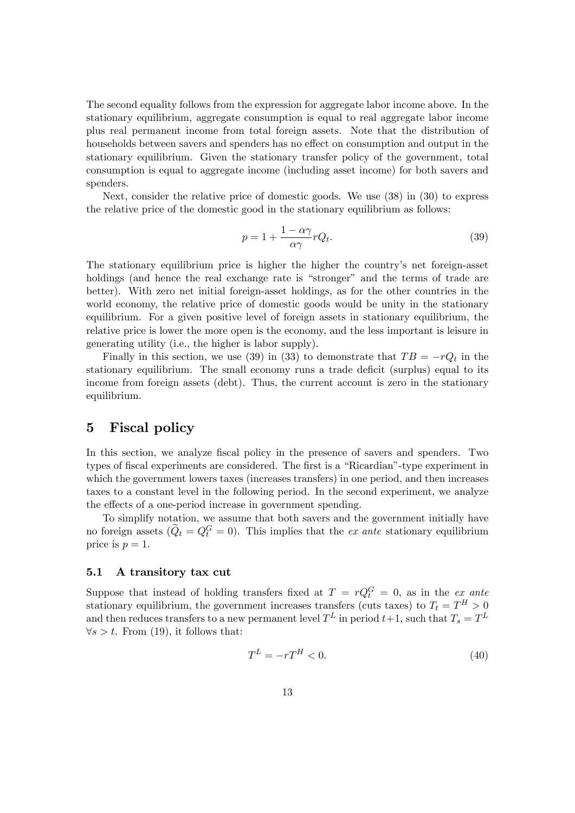The second equality follows from the expression for aggregate labor income above. In the stationary equilibrium, aggregate consumption is equal to real aggregate labor income plus real permanent income from total foreign assets. Note that the distribution of households between savers and spenders has no effect on consumption and output in the stationary equilibrium. Given the stationary transfer policy of the government, total consumption is equal to aggregate income (including asset income) for both savers and spenders.

Next, consider the relative price of domestic goods. We use (38) in (30) to express the relative price of the domestic good in the stationary equilibrium as follows:

$$
p = 1 + \frac{1 - \alpha \gamma}{\alpha \gamma} r Q_t.
$$
\n(39)

The stationary equilibrium price is higher the higher the country's net foreign-asset holdings (and hence the real exchange rate is "stronger" and the terms of trade are better). With zero net initial foreign-asset holdings, as for the other countries in the world economy, the relative price of domestic goods would be unity in the stationary equilibrium. For a given positive level of foreign assets in stationary equilibrium, the relative price is lower the more open is the economy, and the less important is leisure in generating utility (i.e., the higher is labor supply).

Finally in this section, we use (39) in (33) to demonstrate that  $TB = -rQ_t$  in the stationary equilibrium. The small economy runs a trade deficit (surplus) equal to its income from foreign assets (debt). Thus, the current account is zero in the stationary equilibrium.

## 5 Fiscal policy

In this section, we analyze fiscal policy in the presence of savers and spenders. Two types of fiscal experiments are considered. The first is a "Ricardian"-type experiment in which the government lowers taxes (increases transfers) in one period, and then increases taxes to a constant level in the following period. In the second experiment, we analyze the effects of a one-period increase in government spending.

To simplify notation, we assume that both savers and the government initially have no foreign assets  $(\tilde{Q}_t = Q_t^G = 0)$ . This implies that the *ex ante* stationary equilibrium price is  $p = 1$ .

#### 5.1 A transitory tax cut

Suppose that instead of holding transfers fixed at  $T = rQ_t^G = 0$ , as in the ex ante stationary equilibrium, the government increases transfers (cuts taxes) to  $T_t = T^H > 0$ and then reduces transfers to a new permanent level  $T^L$  in period  $t+1$ , such that  $T_s = T^L$  $\forall s > t$ . From (19), it follows that:

$$
T^L = -rT^H < 0.\tag{40}
$$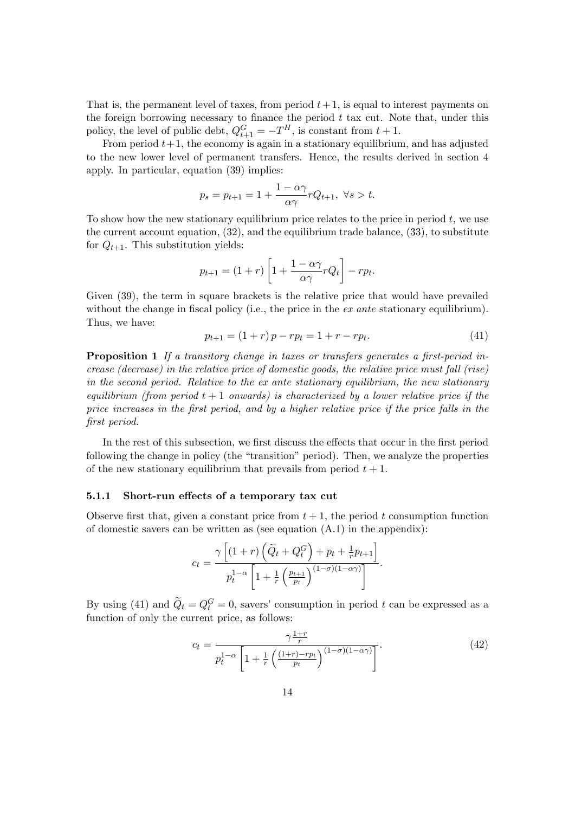That is, the permanent level of taxes, from period  $t+1$ , is equal to interest payments on the foreign borrowing necessary to finance the period  $t$  tax cut. Note that, under this policy, the level of public debt,  $Q_{t+1}^G = -T^H$ , is constant from  $t + 1$ .

From period  $t+1$ , the economy is again in a stationary equilibrium, and has adjusted to the new lower level of permanent transfers. Hence, the results derived in section 4 apply. In particular, equation (39) implies:

$$
p_s = p_{t+1} = 1 + \frac{1 - \alpha \gamma}{\alpha \gamma} r Q_{t+1}, \ \forall s > t.
$$

To show how the new stationary equilibrium price relates to the price in period  $t$ , we use the current account equation, (32), and the equilibrium trade balance, (33), to substitute for  $Q_{t+1}$ . This substitution yields:

$$
p_{t+1} = (1+r)\left[1 + \frac{1-\alpha\gamma}{\alpha\gamma}rQ_t\right] - rp_t.
$$

Given (39), the term in square brackets is the relative price that would have prevailed without the change in fiscal policy (i.e., the price in the  $ex$  ante stationary equilibrium). Thus, we have:

$$
p_{t+1} = (1+r)p - rp_t = 1 + r - rp_t.
$$
\n(41)

**Proposition 1** If a transitory change in taxes or transfers generates a first-period increase (decrease) in the relative price of domestic goods, the relative price must fall (rise) in the second period. Relative to the ex ante stationary equilibrium, the new stationary equilibrium (from period  $t + 1$  onwards) is characterized by a lower relative price if the price increases in the Örst period, and by a higher relative price if the price falls in the Örst period.

In the rest of this subsection, we first discuss the effects that occur in the first period following the change in policy (the "transition" period). Then, we analyze the properties of the new stationary equilibrium that prevails from period  $t + 1$ .

#### 5.1.1 Short-run effects of a temporary tax cut

Observe first that, given a constant price from  $t + 1$ , the period t consumption function of domestic savers can be written as (see equation  $(A.1)$ ) in the appendix):

$$
c_t = \frac{\gamma \left[ (1+r) \left( \widetilde{Q}_t + Q_t^G \right) + p_t + \frac{1}{r} p_{t+1} \right]}{p_t^{1-\alpha} \left[ 1 + \frac{1}{r} \left( \frac{p_{t+1}}{p_t} \right)^{(1-\sigma)(1-\alpha \gamma)} \right]}.
$$

By using (41) and  $\ddot{Q}_t = Q_t^G = 0$ , savers' consumption in period t can be expressed as a function of only the current price, as follows:

$$
c_t = \frac{\gamma \frac{1+r}{r}}{p_t^{1-\alpha} \left[1 + \frac{1}{r} \left(\frac{(1+r)-rp_t}{p_t}\right)^{(1-\sigma)(1-\alpha\gamma)}\right]}.
$$
\n(42)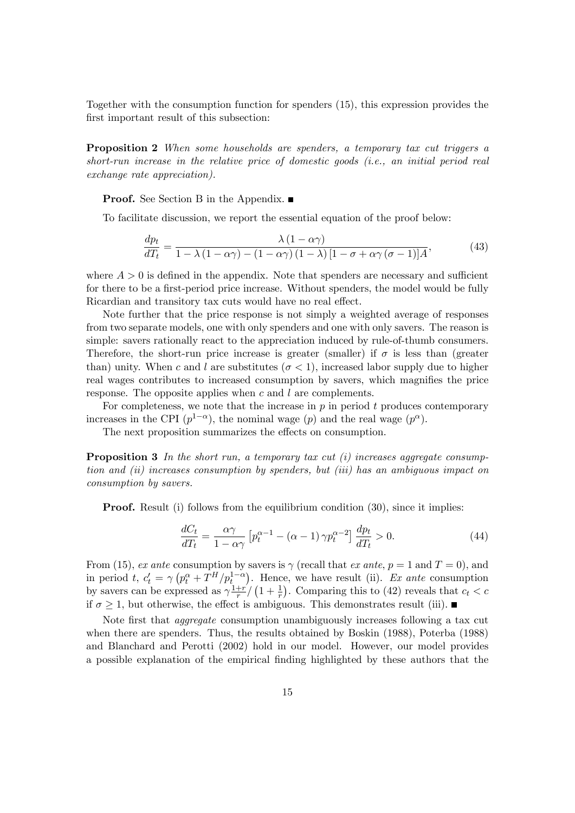Together with the consumption function for spenders (15), this expression provides the first important result of this subsection:

Proposition 2 When some households are spenders, a temporary tax cut triggers a short-run increase in the relative price of domestic goods (i.e., an initial period real exchange rate appreciation).

**Proof.** See Section B in the Appendix. ■

To facilitate discussion, we report the essential equation of the proof below:

$$
\frac{dp_t}{dT_t} = \frac{\lambda (1 - \alpha \gamma)}{1 - \lambda (1 - \alpha \gamma) - (1 - \alpha \gamma) (1 - \lambda) [1 - \sigma + \alpha \gamma (\sigma - 1)] A},\tag{43}
$$

where  $A > 0$  is defined in the appendix. Note that spenders are necessary and sufficient for there to be a first-period price increase. Without spenders, the model would be fully Ricardian and transitory tax cuts would have no real effect.

Note further that the price response is not simply a weighted average of responses from two separate models, one with only spenders and one with only savers. The reason is simple: savers rationally react to the appreciation induced by rule-of-thumb consumers. Therefore, the short-run price increase is greater (smaller) if  $\sigma$  is less than (greater than) unity. When c and l are substitutes  $(\sigma < 1)$ , increased labor supply due to higher real wages contributes to increased consumption by savers, which magnifies the price response. The opposite applies when  $c$  and  $l$  are complements.

For completeness, we note that the increase in  $p$  in period  $t$  produces contemporary increases in the CPI  $(p^{1-\alpha})$ , the nominal wage  $(p)$  and the real wage  $(p^{\alpha})$ .

The next proposition summarizes the effects on consumption.

**Proposition 3** In the short run, a temporary tax cut  $(i)$  increases aggregate consumption and (ii) increases consumption by spenders, but (iii) has an ambiguous impact on consumption by savers.

**Proof.** Result (i) follows from the equilibrium condition (30), since it implies:

$$
\frac{dC_t}{dT_t} = \frac{\alpha \gamma}{1 - \alpha \gamma} \left[ p_t^{\alpha - 1} - (\alpha - 1) \gamma p_t^{\alpha - 2} \right] \frac{dp_t}{dT_t} > 0.
$$
\n(44)

From (15), ex ante consumption by savers is  $\gamma$  (recall that ex ante,  $p = 1$  and  $T = 0$ ), and in period t,  $c'_t = \gamma (p_t^{\alpha} + T^H/p_t^{1-\alpha})$ . Hence, we have result (ii). Ex ante consumption by savers can be expressed as  $\gamma \frac{1+r}{r}$  $\frac{1+r'}{r}$  (1 +  $\frac{1}{r}$ ). Comparing this to (42) reveals that  $c_t < c$ if  $\sigma > 1$ , but otherwise, the effect is ambiguous. This demonstrates result (iii).

Note first that *aggregate* consumption unambiguously increases following a tax cut when there are spenders. Thus, the results obtained by Boskin (1988), Poterba (1988) and Blanchard and Perotti (2002) hold in our model. However, our model provides a possible explanation of the empirical Önding highlighted by these authors that the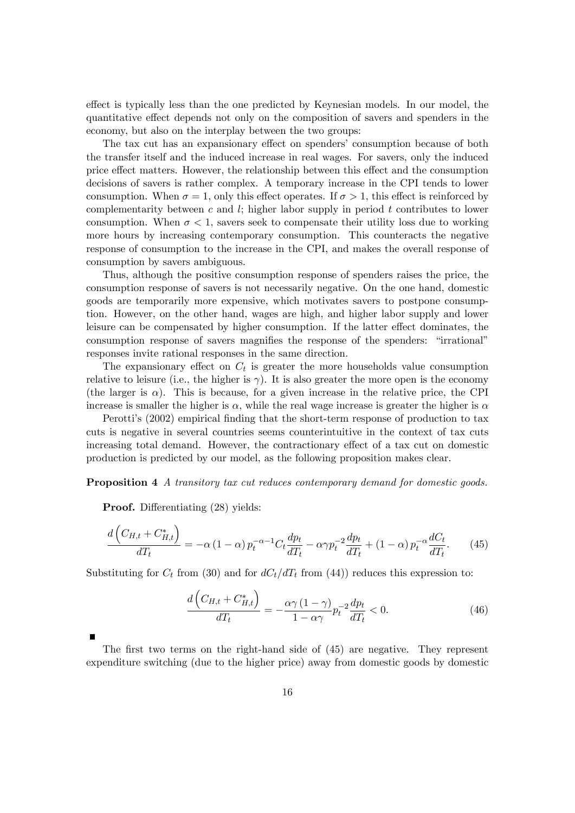effect is typically less than the one predicted by Keynesian models. In our model, the quantitative effect depends not only on the composition of savers and spenders in the economy, but also on the interplay between the two groups:

The tax cut has an expansionary effect on spenders' consumption because of both the transfer itself and the induced increase in real wages. For savers, only the induced price effect matters. However, the relationship between this effect and the consumption decisions of savers is rather complex. A temporary increase in the CPI tends to lower consumption. When  $\sigma = 1$ , only this effect operates. If  $\sigma > 1$ , this effect is reinforced by complementarity between  $c$  and  $l$ ; higher labor supply in period  $t$  contributes to lower consumption. When  $\sigma < 1$ , savers seek to compensate their utility loss due to working more hours by increasing contemporary consumption. This counteracts the negative response of consumption to the increase in the CPI, and makes the overall response of consumption by savers ambiguous.

Thus, although the positive consumption response of spenders raises the price, the consumption response of savers is not necessarily negative. On the one hand, domestic goods are temporarily more expensive, which motivates savers to postpone consumption. However, on the other hand, wages are high, and higher labor supply and lower leisure can be compensated by higher consumption. If the latter effect dominates, the consumption response of savers magnifies the response of the spenders: "irrational" responses invite rational responses in the same direction.

The expansionary effect on  $C_t$  is greater the more households value consumption relative to leisure (i.e., the higher is  $\gamma$ ). It is also greater the more open is the economy (the larger is  $\alpha$ ). This is because, for a given increase in the relative price, the CPI increase is smaller the higher is  $\alpha$ , while the real wage increase is greater the higher is  $\alpha$ 

Perotti's (2002) empirical finding that the short-term response of production to tax cuts is negative in several countries seems counterintuitive in the context of tax cuts increasing total demand. However, the contractionary effect of a tax cut on domestic production is predicted by our model, as the following proposition makes clear.

Proposition 4 A transitory tax cut reduces contemporary demand for domestic goods.

**Proof.** Differentiating (28) yields:

$$
\frac{d\left(C_{H,t} + C_{H,t}^*\right)}{dT_t} = -\alpha \left(1 - \alpha\right) p_t^{-\alpha - 1} C_t \frac{dp_t}{dT_t} - \alpha \gamma p_t^{-2} \frac{dp_t}{dT_t} + \left(1 - \alpha\right) p_t^{-\alpha} \frac{dC_t}{dT_t}.\tag{45}
$$

Substituting for  $C_t$  from (30) and for  $dC_t/dT_t$  from (44)) reduces this expression to:

$$
\frac{d\left(C_{H,t} + C_{H,t}^*\right)}{dT_t} = -\frac{\alpha\gamma\left(1-\gamma\right)}{1-\alpha\gamma}p_t^{-2}\frac{dp_t}{dT_t} < 0.\tag{46}
$$

The first two terms on the right-hand side of  $(45)$  are negative. They represent expenditure switching (due to the higher price) away from domestic goods by domestic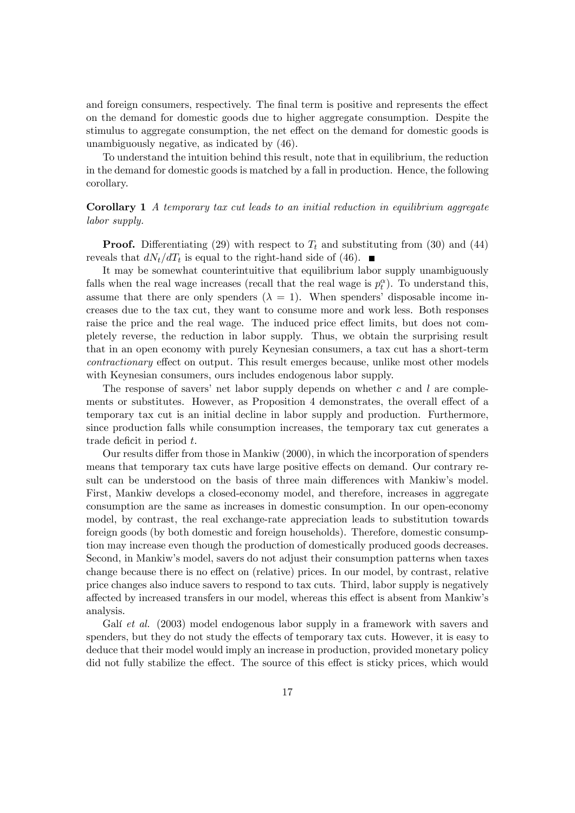and foreign consumers, respectively. The final term is positive and represents the effect on the demand for domestic goods due to higher aggregate consumption. Despite the stimulus to aggregate consumption, the net effect on the demand for domestic goods is unambiguously negative, as indicated by (46).

To understand the intuition behind this result, note that in equilibrium, the reduction in the demand for domestic goods is matched by a fall in production. Hence, the following corollary.

#### Corollary 1 A temporary tax cut leads to an initial reduction in equilibrium aggregate labor supply.

**Proof.** Differentiating (29) with respect to  $T_t$  and substituting from (30) and (44) reveals that  $dN_t/dT_t$  is equal to the right-hand side of (46).

It may be somewhat counterintuitive that equilibrium labor supply unambiguously falls when the real wage increases (recall that the real wage is  $p_t^{\alpha}$ ). To understand this, assume that there are only spenders  $(\lambda = 1)$ . When spenders' disposable income increases due to the tax cut, they want to consume more and work less. Both responses raise the price and the real wage. The induced price effect limits, but does not completely reverse, the reduction in labor supply. Thus, we obtain the surprising result that in an open economy with purely Keynesian consumers, a tax cut has a short-term contractionary effect on output. This result emerges because, unlike most other models with Keynesian consumers, ours includes endogenous labor supply.

The response of savers' net labor supply depends on whether  $c$  and  $l$  are complements or substitutes. However, as Proposition 4 demonstrates, the overall effect of a temporary tax cut is an initial decline in labor supply and production. Furthermore, since production falls while consumption increases, the temporary tax cut generates a trade deficit in period  $t$ .

Our results differ from those in Mankiw (2000), in which the incorporation of spenders means that temporary tax cuts have large positive effects on demand. Our contrary result can be understood on the basis of three main differences with Mankiw's model. First, Mankiw develops a closed-economy model, and therefore, increases in aggregate consumption are the same as increases in domestic consumption. In our open-economy model, by contrast, the real exchange-rate appreciation leads to substitution towards foreign goods (by both domestic and foreign households). Therefore, domestic consumption may increase even though the production of domestically produced goods decreases. Second, in Mankiw's model, savers do not adjust their consumption patterns when taxes change because there is no effect on (relative) prices. In our model, by contrast, relative price changes also induce savers to respond to tax cuts. Third, labor supply is negatively affected by increased transfers in our model, whereas this effect is absent from Mankiw's analysis.

Galí et al. (2003) model endogenous labor supply in a framework with savers and spenders, but they do not study the effects of temporary tax cuts. However, it is easy to deduce that their model would imply an increase in production, provided monetary policy did not fully stabilize the effect. The source of this effect is sticky prices, which would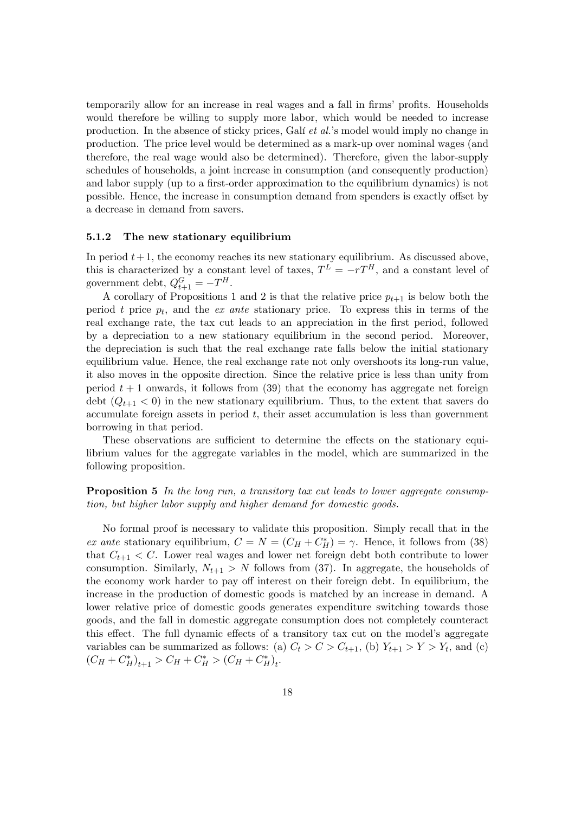temporarily allow for an increase in real wages and a fall in firms' profits. Households would therefore be willing to supply more labor, which would be needed to increase production. In the absence of sticky prices, Galí et al.'s model would imply no change in production. The price level would be determined as a mark-up over nominal wages (and therefore, the real wage would also be determined). Therefore, given the labor-supply schedules of households, a joint increase in consumption (and consequently production) and labor supply (up to a first-order approximation to the equilibrium dynamics) is not possible. Hence, the increase in consumption demand from spenders is exactly offset by a decrease in demand from savers.

#### 5.1.2 The new stationary equilibrium

In period  $t+1$ , the economy reaches its new stationary equilibrium. As discussed above, this is characterized by a constant level of taxes,  $T^L = -rT^H$ , and a constant level of government debt,  $Q_{t+1}^G = -T^H$ .

A corollary of Propositions 1 and 2 is that the relative price  $p_{t+1}$  is below both the period t price  $p_t$ , and the ex ante stationary price. To express this in terms of the real exchange rate, the tax cut leads to an appreciation in the first period, followed by a depreciation to a new stationary equilibrium in the second period. Moreover, the depreciation is such that the real exchange rate falls below the initial stationary equilibrium value. Hence, the real exchange rate not only overshoots its long-run value, it also moves in the opposite direction. Since the relative price is less than unity from period  $t + 1$  onwards, it follows from (39) that the economy has aggregate net foreign debt  $(Q_{t+1} < 0)$  in the new stationary equilibrium. Thus, to the extent that savers do accumulate foreign assets in period  $t$ , their asset accumulation is less than government borrowing in that period.

These observations are sufficient to determine the effects on the stationary equilibrium values for the aggregate variables in the model, which are summarized in the following proposition.

#### Proposition 5 In the long run, a transitory tax cut leads to lower aggregate consumption, but higher labor supply and higher demand for domestic goods.

No formal proof is necessary to validate this proposition. Simply recall that in the ex ante stationary equilibrium,  $C = N = (C_H + C_H^*) = \gamma$ . Hence, it follows from (38) that  $C_{t+1} < C$ . Lower real wages and lower net foreign debt both contribute to lower consumption. Similarly,  $N_{t+1} > N$  follows from (37). In aggregate, the households of the economy work harder to pay off interest on their foreign debt. In equilibrium, the increase in the production of domestic goods is matched by an increase in demand. A lower relative price of domestic goods generates expenditure switching towards those goods, and the fall in domestic aggregate consumption does not completely counteract this effect. The full dynamic effects of a transitory tax cut on the model's aggregate variables can be summarized as follows: (a)  $C_t > C > C_{t+1}$ , (b)  $Y_{t+1} > Y > Y_t$ , and (c)  $(C_H + C_H^*)_{t+1} > C_H + C_H^* > (C_H + C_H^*)_{t}.$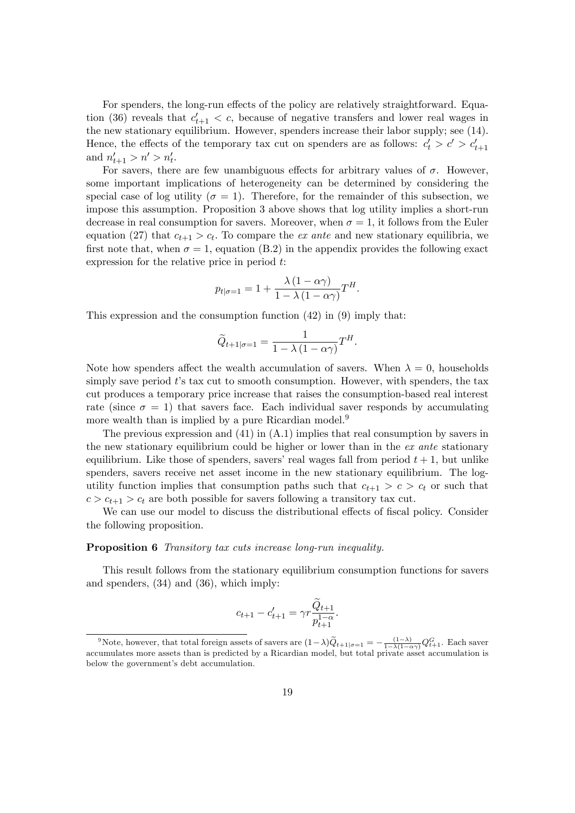For spenders, the long-run effects of the policy are relatively straightforward. Equation (36) reveals that  $c'_{t+1} < c$ , because of negative transfers and lower real wages in the new stationary equilibrium. However, spenders increase their labor supply; see (14). Hence, the effects of the temporary tax cut on spenders are as follows:  $c'_t > c' > c'_{t+1}$ and  $n'_{t+1} > n' > n'_{t}$ .

For savers, there are few unambiguous effects for arbitrary values of  $\sigma$ . However, some important implications of heterogeneity can be determined by considering the special case of log utility ( $\sigma = 1$ ). Therefore, for the remainder of this subsection, we impose this assumption. Proposition 3 above shows that log utility implies a short-run decrease in real consumption for savers. Moreover, when  $\sigma = 1$ , it follows from the Euler equation (27) that  $c_{t+1} > c_t$ . To compare the *ex ante* and new stationary equilibria, we first note that, when  $\sigma = 1$ , equation (B.2) in the appendix provides the following exact expression for the relative price in period t:

$$
p_{t|\sigma=1} = 1 + \frac{\lambda (1 - \alpha \gamma)}{1 - \lambda (1 - \alpha \gamma)} T^H.
$$

This expression and the consumption function (42) in (9) imply that:

$$
\widetilde{Q}_{t+1|\sigma=1} = \frac{1}{1 - \lambda (1 - \alpha \gamma)} T^H.
$$

Note how spenders affect the wealth accumulation of savers. When  $\lambda = 0$ , households simply save period  $t$ 's tax cut to smooth consumption. However, with spenders, the tax cut produces a temporary price increase that raises the consumption-based real interest rate (since  $\sigma = 1$ ) that savers face. Each individual saver responds by accumulating more wealth than is implied by a pure Ricardian model.<sup>9</sup>

The previous expression and  $(41)$  in  $(A.1)$  implies that real consumption by savers in the new stationary equilibrium could be higher or lower than in the ex ante stationary equilibrium. Like those of spenders, savers' real wages fall from period  $t + 1$ , but unlike spenders, savers receive net asset income in the new stationary equilibrium. The logutility function implies that consumption paths such that  $c_{t+1} > c > c_t$  or such that  $c > c_{t+1} > c_t$  are both possible for savers following a transitory tax cut.

We can use our model to discuss the distributional effects of fiscal policy. Consider the following proposition.

#### Proposition 6 Transitory tax cuts increase long-run inequality.

This result follows from the stationary equilibrium consumption functions for savers and spenders, (34) and (36), which imply:

$$
c_{t+1} - c'_{t+1} = \gamma r \frac{\tilde{Q}_{t+1}}{p_{t+1}^{1-\alpha}}.
$$

<sup>&</sup>lt;sup>9</sup>Note, however, that total foreign assets of savers are  $(1-\lambda)\widetilde{Q}_{t+1|\sigma=1}=-\frac{(1-\lambda)}{1-\lambda(1-\alpha\gamma)}Q_{t+1}^G$ . Each saver accumulates more assets than is predicted by a Ricardian model, but total private asset accumulation is below the government's debt accumulation.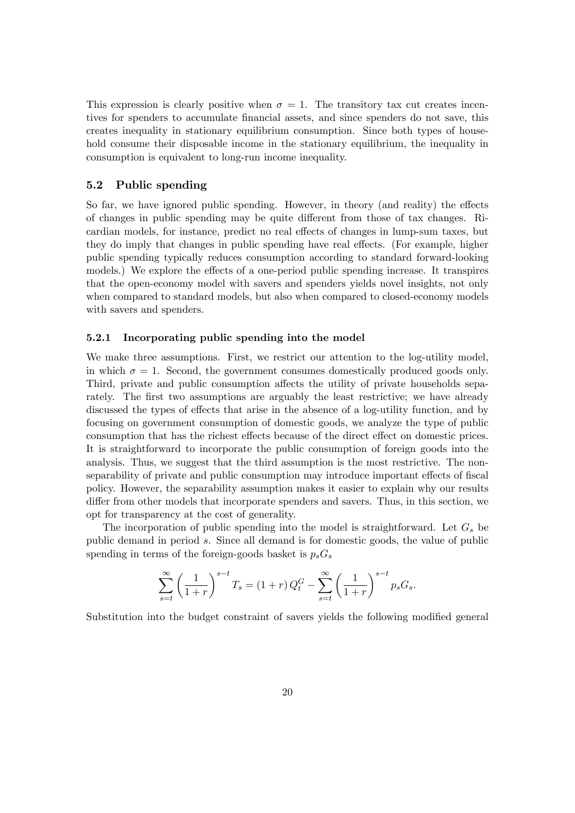This expression is clearly positive when  $\sigma = 1$ . The transitory tax cut creates incentives for spenders to accumulate financial assets, and since spenders do not save, this creates inequality in stationary equilibrium consumption. Since both types of household consume their disposable income in the stationary equilibrium, the inequality in consumption is equivalent to long-run income inequality.

#### 5.2 Public spending

So far, we have ignored public spending. However, in theory (and reality) the effects of changes in public spending may be quite different from those of tax changes. Ricardian models, for instance, predict no real effects of changes in lump-sum taxes, but they do imply that changes in public spending have real effects. (For example, higher public spending typically reduces consumption according to standard forward-looking models.) We explore the effects of a one-period public spending increase. It transpires that the open-economy model with savers and spenders yields novel insights, not only when compared to standard models, but also when compared to closed-economy models with savers and spenders.

#### 5.2.1 Incorporating public spending into the model

We make three assumptions. First, we restrict our attention to the log-utility model, in which  $\sigma = 1$ . Second, the government consumes domestically produced goods only. Third, private and public consumption affects the utility of private households separately. The first two assumptions are arguably the least restrictive; we have already discussed the types of effects that arise in the absence of a log-utility function, and by focusing on government consumption of domestic goods, we analyze the type of public consumption that has the richest effects because of the direct effect on domestic prices. It is straightforward to incorporate the public consumption of foreign goods into the analysis. Thus, we suggest that the third assumption is the most restrictive. The nonseparability of private and public consumption may introduce important effects of fiscal policy. However, the separability assumption makes it easier to explain why our results differ from other models that incorporate spenders and savers. Thus, in this section, we opt for transparency at the cost of generality.

The incorporation of public spending into the model is straightforward. Let  $G_s$  be public demand in period s. Since all demand is for domestic goods, the value of public spending in terms of the foreign-goods basket is  $p_sG_s$ 

$$
\sum_{s=t}^{\infty} \left(\frac{1}{1+r}\right)^{s-t} T_s = (1+r) Q_t^G - \sum_{s=t}^{\infty} \left(\frac{1}{1+r}\right)^{s-t} p_s G_s.
$$

Substitution into the budget constraint of savers yields the following modified general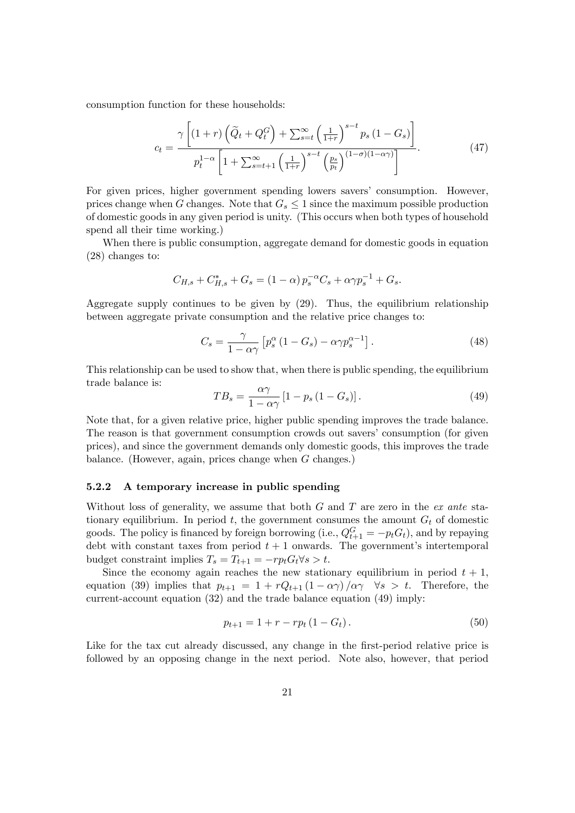consumption function for these households:

$$
c_{t} = \frac{\gamma \left[ (1+r) \left( \widetilde{Q}_{t} + Q_{t}^{G} \right) + \sum_{s=t}^{\infty} \left( \frac{1}{1+r} \right)^{s-t} p_{s} \left( 1 - G_{s} \right) \right]}{p_{t}^{1-\alpha} \left[ 1 + \sum_{s=t+1}^{\infty} \left( \frac{1}{1+r} \right)^{s-t} \left( \frac{p_{s}}{p_{t}} \right)^{(1-\sigma)(1-\alpha\gamma)} \right]}.
$$
(47)

For given prices, higher government spending lowers savers' consumption. However, prices change when G changes. Note that  $G_s \leq 1$  since the maximum possible production of domestic goods in any given period is unity. (This occurs when both types of household spend all their time working.)

When there is public consumption, aggregate demand for domestic goods in equation (28) changes to:

$$
C_{H,s} + C_{H,s}^* + G_s = (1 - \alpha) p_s^{-\alpha} C_s + \alpha \gamma p_s^{-1} + G_s.
$$

Aggregate supply continues to be given by (29). Thus, the equilibrium relationship between aggregate private consumption and the relative price changes to:

$$
C_s = \frac{\gamma}{1 - \alpha \gamma} \left[ p_s^{\alpha} \left( 1 - G_s \right) - \alpha \gamma p_s^{\alpha - 1} \right]. \tag{48}
$$

This relationship can be used to show that, when there is public spending, the equilibrium trade balance is:

$$
TB_s = \frac{\alpha \gamma}{1 - \alpha \gamma} \left[ 1 - p_s \left( 1 - G_s \right) \right]. \tag{49}
$$

Note that, for a given relative price, higher public spending improves the trade balance. The reason is that government consumption crowds out savers' consumption (for given prices), and since the government demands only domestic goods, this improves the trade balance. (However, again, prices change when  $G$  changes.)

#### 5.2.2 A temporary increase in public spending

Without loss of generality, we assume that both  $G$  and  $T$  are zero in the ex ante stationary equilibrium. In period  $t$ , the government consumes the amount  $G_t$  of domestic goods. The policy is financed by foreign borrowing (i.e.,  $Q_{t+1}^G = -p_tG_t$ ), and by repaying debt with constant taxes from period  $t + 1$  onwards. The government's intertemporal budget constraint implies  $T_s = T_{t+1} = -rp_tG_t\forall s > t$ .

Since the economy again reaches the new stationary equilibrium in period  $t + 1$ , equation (39) implies that  $p_{t+1} = 1 + rQ_{t+1} (1 - \alpha \gamma)/\alpha \gamma \quad \forall s > t$ . Therefore, the current-account equation  $(32)$  and the trade balance equation  $(49)$  imply:

$$
p_{t+1} = 1 + r - rp_t (1 - G_t). \tag{50}
$$

Like for the tax cut already discussed, any change in the first-period relative price is followed by an opposing change in the next period. Note also, however, that period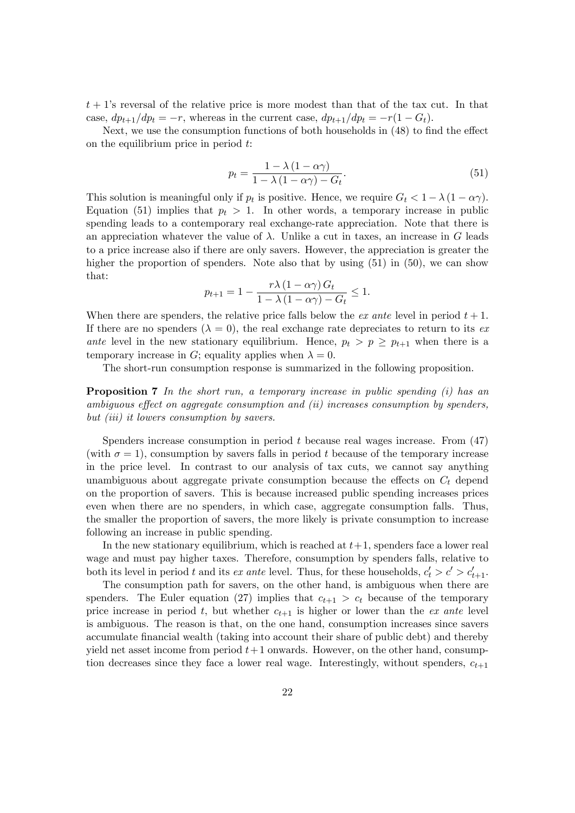$t + 1$ 's reversal of the relative price is more modest than that of the tax cut. In that case,  $dp_{t+1}/dp_t = -r$ , whereas in the current case,  $dp_{t+1}/dp_t = -r(1 - G_t)$ .

Next, we use the consumption functions of both households in  $(48)$  to find the effect on the equilibrium price in period  $t$ :

$$
p_t = \frac{1 - \lambda (1 - \alpha \gamma)}{1 - \lambda (1 - \alpha \gamma) - G_t}.
$$
\n
$$
(51)
$$

This solution is meaningful only if  $p_t$  is positive. Hence, we require  $G_t < 1 - \lambda (1 - \alpha \gamma)$ . Equation (51) implies that  $p_t > 1$ . In other words, a temporary increase in public spending leads to a contemporary real exchange-rate appreciation. Note that there is an appreciation whatever the value of  $\lambda$ . Unlike a cut in taxes, an increase in G leads to a price increase also if there are only savers. However, the appreciation is greater the higher the proportion of spenders. Note also that by using  $(51)$  in  $(50)$ , we can show that:

$$
p_{t+1} = 1 - \frac{r\lambda (1 - \alpha \gamma) G_t}{1 - \lambda (1 - \alpha \gamma) - G_t} \le 1.
$$

When there are spenders, the relative price falls below the *ex ante* level in period  $t + 1$ . If there are no spenders  $(\lambda = 0)$ , the real exchange rate depreciates to return to its exante level in the new stationary equilibrium. Hence,  $p_t > p \geq p_{t+1}$  when there is a temporary increase in G; equality applies when  $\lambda = 0$ .

The short-run consumption response is summarized in the following proposition.

**Proposition 7** In the short run, a temporary increase in public spending  $(i)$  has an ambiguous effect on aggregate consumption and  $(ii)$  increases consumption by spenders, but *(iii)* it lowers consumption by savers.

Spenders increase consumption in period t because real wages increase. From (47) (with  $\sigma = 1$ ), consumption by savers falls in period t because of the temporary increase in the price level. In contrast to our analysis of tax cuts, we cannot say anything unambiguous about aggregate private consumption because the effects on  $C<sub>t</sub>$  depend on the proportion of savers. This is because increased public spending increases prices even when there are no spenders, in which case, aggregate consumption falls. Thus, the smaller the proportion of savers, the more likely is private consumption to increase following an increase in public spending.

In the new stationary equilibrium, which is reached at  $t+1$ , spenders face a lower real wage and must pay higher taxes. Therefore, consumption by spenders falls, relative to both its level in period t and its ex ante level. Thus, for these households,  $c'_t > c' > c'_{t+1}$ .

The consumption path for savers, on the other hand, is ambiguous when there are spenders. The Euler equation (27) implies that  $c_{t+1} > c_t$  because of the temporary price increase in period t, but whether  $c_{t+1}$  is higher or lower than the ex ante level is ambiguous. The reason is that, on the one hand, consumption increases since savers accumulate financial wealth (taking into account their share of public debt) and thereby yield net asset income from period  $t+1$  onwards. However, on the other hand, consumption decreases since they face a lower real wage. Interestingly, without spenders,  $c_{t+1}$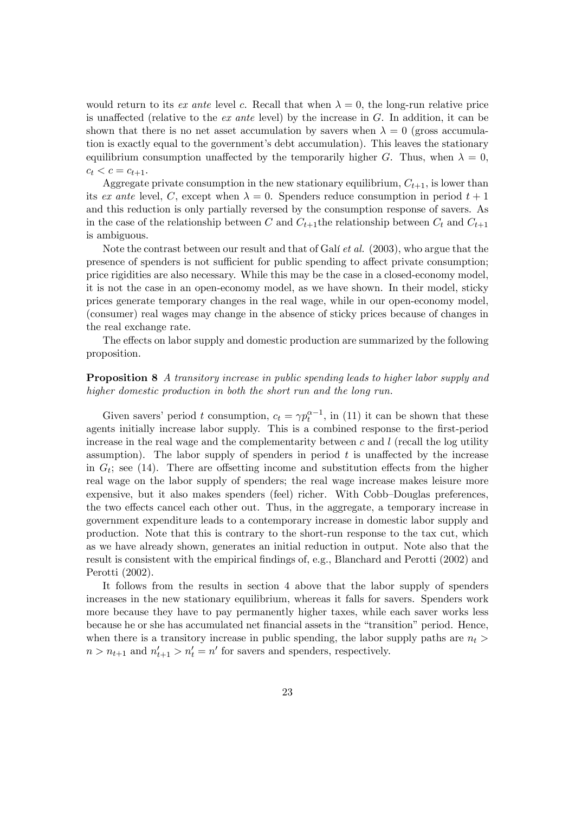would return to its ex ante level c. Recall that when  $\lambda = 0$ , the long-run relative price is unaffected (relative to the ex ante level) by the increase in  $G$ . In addition, it can be shown that there is no net asset accumulation by savers when  $\lambda = 0$  (gross accumulation is exactly equal to the government's debt accumulation). This leaves the stationary equilibrium consumption unaffected by the temporarily higher G. Thus, when  $\lambda = 0$ ,  $c_t < c = c_{t+1}.$ 

Aggregate private consumption in the new stationary equilibrium,  $C_{t+1}$ , is lower than its ex ante level, C, except when  $\lambda = 0$ . Spenders reduce consumption in period  $t + 1$ and this reduction is only partially reversed by the consumption response of savers. As in the case of the relationship between C and  $C_{t+1}$ the relationship between  $C_t$  and  $C_{t+1}$ is ambiguous.

Note the contrast between our result and that of Gali *et al.*  $(2003)$ , who argue that the presence of spenders is not sufficient for public spending to affect private consumption; price rigidities are also necessary. While this may be the case in a closed-economy model, it is not the case in an open-economy model, as we have shown. In their model, sticky prices generate temporary changes in the real wage, while in our open-economy model, (consumer) real wages may change in the absence of sticky prices because of changes in the real exchange rate.

The effects on labor supply and domestic production are summarized by the following proposition.

#### **Proposition 8** A transitory increase in public spending leads to higher labor supply and higher domestic production in both the short run and the long run.

Given savers' period t consumption,  $c_t = \gamma p_t^{\alpha-1}$ , in (11) it can be shown that these agents initially increase labor supply. This is a combined response to the first-period increase in the real wage and the complementarity between  $c$  and  $l$  (recall the log utility assumption). The labor supply of spenders in period  $t$  is unaffected by the increase in  $G_t$ ; see (14). There are offsetting income and substitution effects from the higher real wage on the labor supply of spenders; the real wage increase makes leisure more expensive, but it also makes spenders (feel) richer. With Cobb-Douglas preferences, the two effects cancel each other out. Thus, in the aggregate, a temporary increase in government expenditure leads to a contemporary increase in domestic labor supply and production. Note that this is contrary to the short-run response to the tax cut, which as we have already shown, generates an initial reduction in output. Note also that the result is consistent with the empirical findings of, e.g., Blanchard and Perotti (2002) and Perotti (2002).

It follows from the results in section 4 above that the labor supply of spenders increases in the new stationary equilibrium, whereas it falls for savers. Spenders work more because they have to pay permanently higher taxes, while each saver works less because he or she has accumulated net financial assets in the "transition" period. Hence, when there is a transitory increase in public spending, the labor supply paths are  $n_t$  $n > n_{t+1}$  and  $n'_{t+1} > n'_{t} = n'$  for savers and spenders, respectively.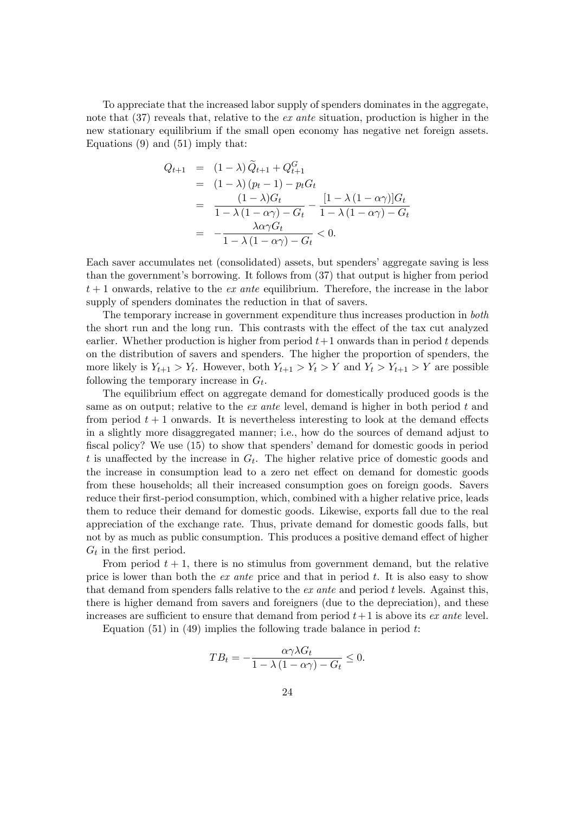To appreciate that the increased labor supply of spenders dominates in the aggregate, note that (37) reveals that, relative to the ex ante situation, production is higher in the new stationary equilibrium if the small open economy has negative net foreign assets. Equations (9) and (51) imply that:

$$
Q_{t+1} = (1 - \lambda) \tilde{Q}_{t+1} + Q_{t+1}^G
$$
  
=  $(1 - \lambda) (p_t - 1) - p_t G_t$   
=  $\frac{(1 - \lambda)G_t}{1 - \lambda (1 - \alpha \gamma) - G_t} - \frac{[1 - \lambda (1 - \alpha \gamma)]G_t}{1 - \lambda (1 - \alpha \gamma) - G_t}$   
=  $-\frac{\lambda \alpha \gamma G_t}{1 - \lambda (1 - \alpha \gamma) - G_t} < 0.$ 

Each saver accumulates net (consolidated) assets, but spendersíaggregate saving is less than the governmentís borrowing. It follows from (37) that output is higher from period  $t+1$  onwards, relative to the *ex ante* equilibrium. Therefore, the increase in the labor supply of spenders dominates the reduction in that of savers.

The temporary increase in government expenditure thus increases production in both the short run and the long run. This contrasts with the effect of the tax cut analyzed earlier. Whether production is higher from period  $t+1$  onwards than in period t depends on the distribution of savers and spenders. The higher the proportion of spenders, the more likely is  $Y_{t+1} > Y_t$ . However, both  $Y_{t+1} > Y_t > Y$  and  $Y_t > Y_{t+1} > Y$  are possible following the temporary increase in  $G_t$ .

The equilibrium effect on aggregate demand for domestically produced goods is the same as on output; relative to the  $ex$  ante level, demand is higher in both period  $t$  and from period  $t + 1$  onwards. It is nevertheless interesting to look at the demand effects in a slightly more disaggregated manner; i.e., how do the sources of demand adjust to fiscal policy? We use  $(15)$  to show that spenders' demand for domestic goods in period t is unaffected by the increase in  $G_t$ . The higher relative price of domestic goods and the increase in consumption lead to a zero net effect on demand for domestic goods from these households; all their increased consumption goes on foreign goods. Savers reduce their first-period consumption, which, combined with a higher relative price, leads them to reduce their demand for domestic goods. Likewise, exports fall due to the real appreciation of the exchange rate. Thus, private demand for domestic goods falls, but not by as much as public consumption. This produces a positive demand effect of higher  $G_t$  in the first period.

From period  $t + 1$ , there is no stimulus from government demand, but the relative price is lower than both the ex ante price and that in period t. It is also easy to show that demand from spenders falls relative to the  $ex$  ante and period t levels. Against this, there is higher demand from savers and foreigners (due to the depreciation), and these increases are sufficient to ensure that demand from period  $t+1$  is above its ex ante level.

Equation  $(51)$  in  $(49)$  implies the following trade balance in period t:

$$
TB_t = -\frac{\alpha \gamma \lambda G_t}{1 - \lambda (1 - \alpha \gamma) - G_t} \le 0.
$$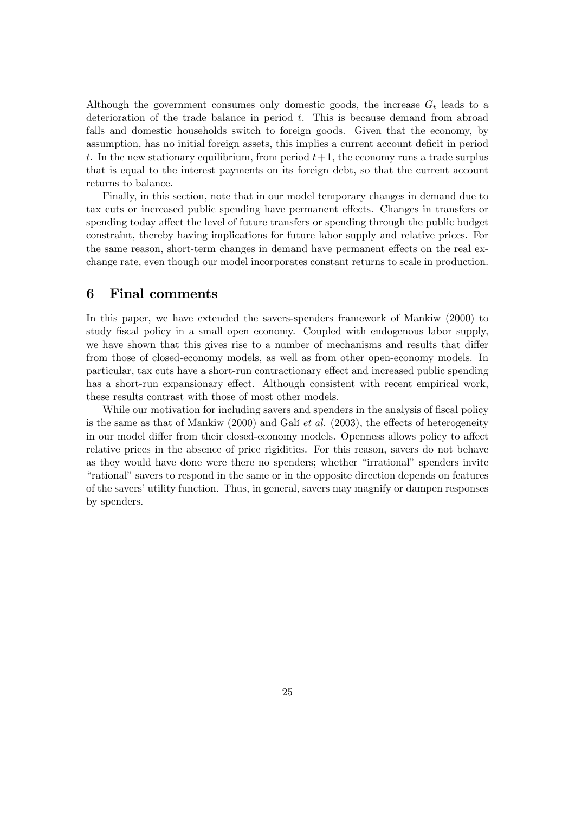Although the government consumes only domestic goods, the increase  $G_t$  leads to a deterioration of the trade balance in period  $t$ . This is because demand from abroad falls and domestic households switch to foreign goods. Given that the economy, by assumption, has no initial foreign assets, this implies a current account deficit in period t. In the new stationary equilibrium, from period  $t+1$ , the economy runs a trade surplus that is equal to the interest payments on its foreign debt, so that the current account returns to balance.

Finally, in this section, note that in our model temporary changes in demand due to tax cuts or increased public spending have permanent effects. Changes in transfers or spending today affect the level of future transfers or spending through the public budget constraint, thereby having implications for future labor supply and relative prices. For the same reason, short-term changes in demand have permanent effects on the real exchange rate, even though our model incorporates constant returns to scale in production.

## 6 Final comments

In this paper, we have extended the savers-spenders framework of Mankiw (2000) to study fiscal policy in a small open economy. Coupled with endogenous labor supply, we have shown that this gives rise to a number of mechanisms and results that differ from those of closed-economy models, as well as from other open-economy models. In particular, tax cuts have a short-run contractionary effect and increased public spending has a short-run expansionary effect. Although consistent with recent empirical work, these results contrast with those of most other models.

While our motivation for including savers and spenders in the analysis of fiscal policy is the same as that of Mankiw (2000) and Galí *et al.* (2003), the effects of heterogeneity in our model differ from their closed-economy models. Openness allows policy to affect relative prices in the absence of price rigidities. For this reason, savers do not behave as they would have done were there no spenders; whether "irrational" spenders invite ìrationalîsavers to respond in the same or in the opposite direction depends on features of the savers' utility function. Thus, in general, savers may magnify or dampen responses by spenders.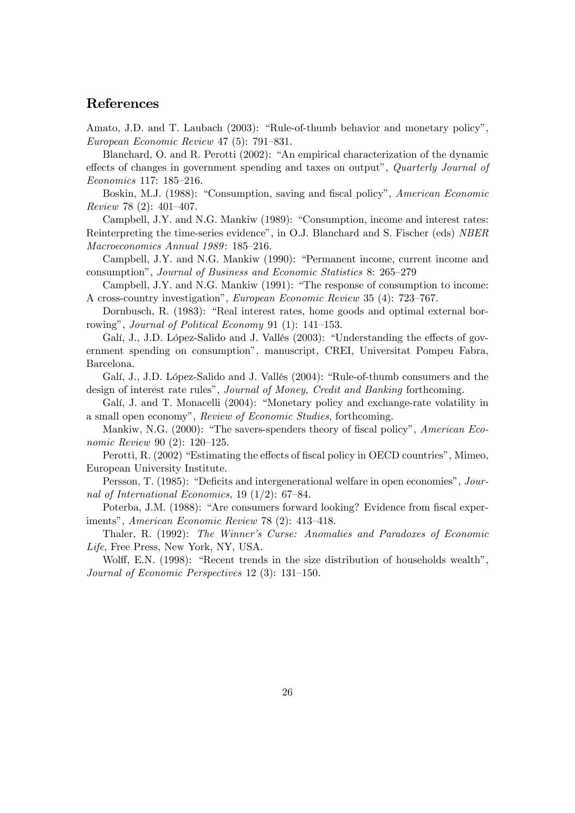## References

Amato, J.D. and T. Laubach  $(2003)$ : "Rule-of-thumb behavior and monetary policy", European Economic Review 47 (5): 791-831.

Blanchard, O. and R. Perotti (2002): "An empirical characterization of the dynamic effects of changes in government spending and taxes on output", Quarterly Journal of  $Economics$  117: 185-216.

Boskin, M.J. (1988): "Consumption, saving and fiscal policy", American Economic  $Review 78 (2): 401-407.$ 

Campbell, J.Y. and N.G. Mankiw  $(1989)$ : "Consumption, income and interest rates: Reinterpreting the time-series evidence", in O.J. Blanchard and S. Fischer (eds) NBER Macroeconomics Annual 1989: 185–216.

Campbell, J.Y. and N.G. Mankiw (1990): "Permanent income, current income and consumption", Journal of Business and Economic Statistics 8: 265–279

Campbell, J.Y. and N.G. Mankiw  $(1991)$ : "The response of consumption to income: A cross-country investigation", European Economic Review 35 (4): 723-767.

Dornbusch, R. (1983): "Real interest rates, home goods and optimal external borrowing", *Journal of Political Economy* 91 (1):  $141-153$ .

Galí, J., J.D. López-Salido and J. Vallés (2003): "Understanding the effects of government spending on consumptionî, manuscript, CREI, Universitat Pompeu Fabra, Barcelona.

Galí, J., J.D. López-Salido and J. Vallés (2004): "Rule-of-thumb consumers and the design of interest rate rules", Journal of Money, Credit and Banking forthcoming.

Galí, J. and T. Monacelli (2004): "Monetary policy and exchange-rate volatility in a small open economy", Review of Economic Studies, forthcoming.

Mankiw, N.G.  $(2000)$ : "The savers-spenders theory of fiscal policy", American Economic Review 90 (2):  $120-125$ .

Perotti, R. (2002) "Estimating the effects of fiscal policy in OECD countries", Mimeo, European University Institute.

Persson, T. (1985): "Deficits and intergenerational welfare in open economies", Journal of International Economics,  $19(1/2)$ : 67-84.

Poterba, J.M. (1988): "Are consumers forward looking? Evidence from fiscal experiments", American Economic Review 78  $(2)$ : 413-418.

Thaler, R. (1992): The Winnerís Curse: Anomalies and Paradoxes of Economic Life, Free Press, New York, NY, USA.

Wolff, E.N.  $(1998)$ : "Recent trends in the size distribution of households wealth", Journal of Economic Perspectives  $12$  (3):  $131-150$ .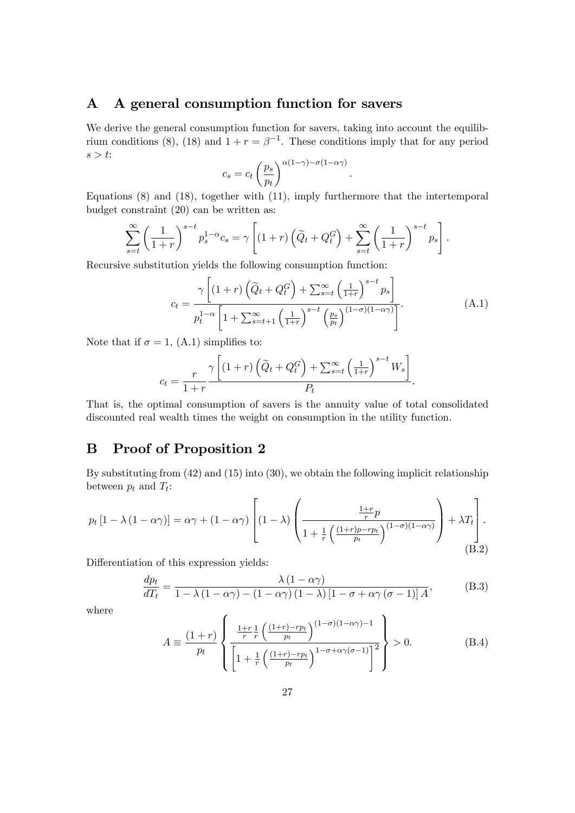# A A general consumption function for savers

We derive the general consumption function for savers, taking into account the equilibrium conditions (8), (18) and  $1 + r = \beta^{-1}$ . These conditions imply that for any period  $s > t$ :

$$
c_s = c_t \left(\frac{p_s}{p_t}\right)^{\alpha(1-\gamma) - \sigma(1-\alpha\gamma)}
$$

Equations (8) and (18), together with (11), imply furthermore that the intertemporal budget constraint (20) can be written as:

$$
\sum_{s=t}^{\infty} \left(\frac{1}{1+r}\right)^{s-t} p_s^{1-\alpha} c_s = \gamma \left[ (1+r) \left( \widetilde{Q}_t + Q_t^G \right) + \sum_{s=t}^{\infty} \left( \frac{1}{1+r} \right)^{s-t} p_s \right].
$$

Recursive substitution yields the following consumption function:

$$
c_{t} = \frac{\gamma \left[ (1+r) \left( \widetilde{Q}_{t} + Q_{t}^{G} \right) + \sum_{s=t}^{\infty} \left( \frac{1}{1+r} \right)^{s-t} p_{s} \right]}{p_{t}^{1-\alpha} \left[ 1 + \sum_{s=t+1}^{\infty} \left( \frac{1}{1+r} \right)^{s-t} \left( \frac{p_{s}}{p_{t}} \right)^{(1-\sigma)(1-\alpha\gamma)} \right]}.
$$
(A.1)

:

Note that if  $\sigma = 1$ , (A.1) simplifies to:

$$
c_t = \frac{r}{1+r} \frac{\gamma \left[ (1+r) \left( \widetilde{Q}_t + Q_t^G \right) + \sum_{s=t}^{\infty} \left( \frac{1}{1+r} \right)^{s-t} W_s \right]}{P_t}.
$$

That is, the optimal consumption of savers is the annuity value of total consolidated discounted real wealth times the weight on consumption in the utility function.

# B Proof of Proposition 2

By substituting from (42) and (15) into (30), we obtain the following implicit relationship between  $p_t$  and  $T_t$ :

$$
p_t \left[1 - \lambda \left(1 - \alpha \gamma\right)\right] = \alpha \gamma + \left(1 - \alpha \gamma\right) \left[ \left(1 - \lambda\right) \left( \frac{\frac{1+r}{r} p}{1 + \frac{1}{r} \left(\frac{(1+r)p - rp_t}{p_t}\right)^{(1-\sigma)(1-\alpha \gamma)}} \right) + \lambda T_t \right].
$$
\n(B.2)

Differentiation of this expression yields:

$$
\frac{dp_t}{dT_t} = \frac{\lambda (1 - \alpha \gamma)}{1 - \lambda (1 - \alpha \gamma) - (1 - \alpha \gamma) (1 - \lambda) [1 - \sigma + \alpha \gamma (\sigma - 1)] A},
$$
(B.3)

where

$$
A \equiv \frac{(1+r)}{p_t} \left\{ \frac{\frac{1+r}{r} \frac{1}{r} \left( \frac{(1+r)-rp_t}{p_t} \right)^{(1-\sigma)(1-\alpha\gamma)-1}}{\left[1+\frac{1}{r} \left( \frac{(1+r)-rp_t}{p_t} \right)^{1-\sigma+\alpha\gamma(\sigma-1)}\right]^2} \right\} > 0.
$$
 (B.4)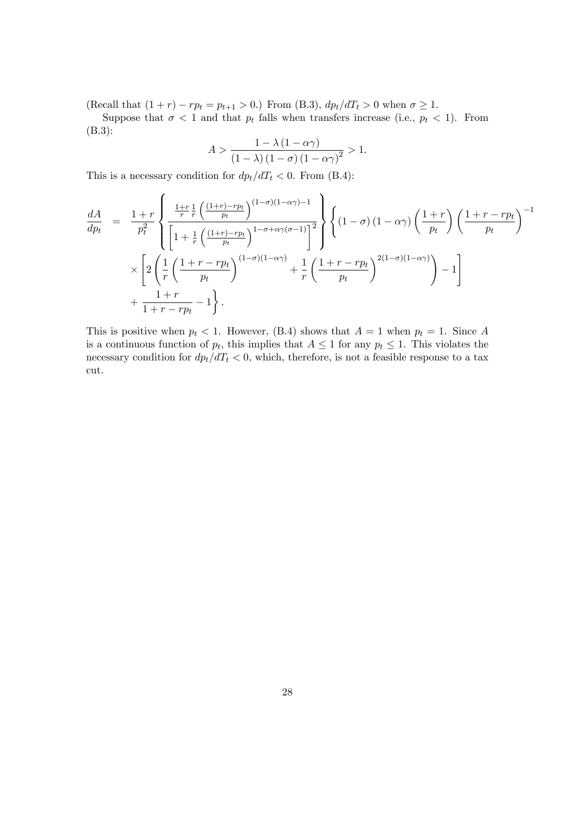(Recall that  $(1 + r) - rp_t = p_{t+1} > 0$ .) From (B.3),  $dp_t/dT_t > 0$  when  $\sigma \ge 1$ .

Suppose that  $\sigma < 1$  and that  $p_t$  falls when transfers increase (i.e.,  $p_t < 1$ ). From (B.3):

$$
A > \frac{1 - \lambda (1 - \alpha \gamma)}{\left(1 - \lambda\right) \left(1 - \sigma\right) \left(1 - \alpha \gamma\right)^2} > 1.
$$

This is a necessary condition for  $dp_t/dT_t < 0$ . From (B.4):

$$
\frac{dA}{dp_t} = \frac{1+r}{p_t^2} \left\{ \frac{\frac{1+r}{r} \left( \frac{(1+r)-rp_t}{p_t} \right)^{(1-\sigma)(1-\alpha\gamma)-1}}{\left[1+\frac{1}{r} \left( \frac{(1+r)-rp_t}{p_t} \right)^{1-\sigma+\alpha\gamma(\sigma-1)}\right]^2} \right\} \left\{ (1-\sigma)(1-\alpha\gamma) \left( \frac{1+r}{p_t} \right) \left( \frac{1+r-rp_t}{p_t} \right)^{-1} \times \left[ 2\left( \frac{1}{r} \left( \frac{1+r-rp_t}{p_t} \right)^{(1-\sigma)(1-\alpha\gamma)} + \frac{1}{r} \left( \frac{1+r-rp_t}{p_t} \right)^{2(1-\sigma)(1-\alpha\gamma)} \right) - 1 \right] + \frac{1+r}{1+r-rp_t} - 1 \right\}.
$$

This is positive when  $p_t < 1$ . However, (B.4) shows that  $A = 1$  when  $p_t = 1$ . Since A is a continuous function of  $p_t$ , this implies that  $A \leq 1$  for any  $p_t \leq 1$ . This violates the necessary condition for  $dp_t/dT_t < 0$ , which, therefore, is not a feasible response to a tax cut.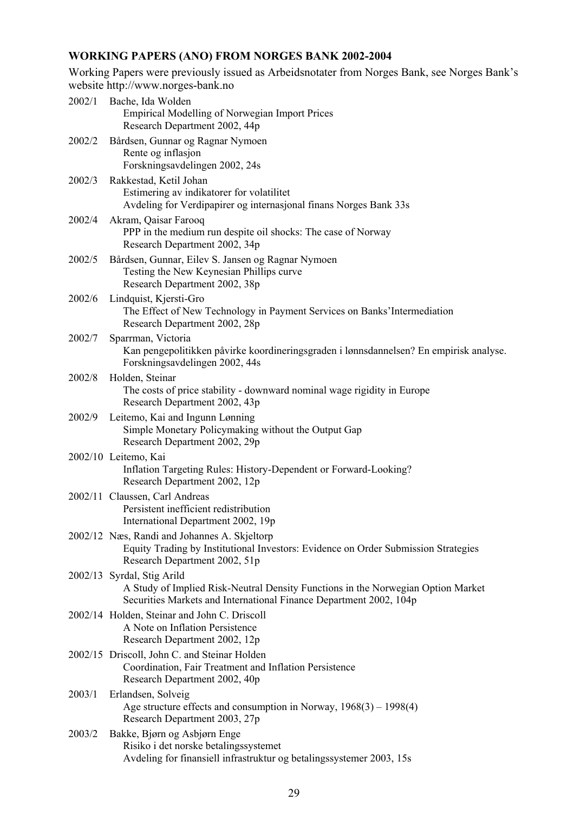# **WORKING PAPERS (ANO) FROM NORGES BANK 2002-2004**

Working Papers were previously issued as Arbeidsnotater from Norges Bank, see Norges Bank's website http://www.norges-bank.no

| 2002/1 | Bache, Ida Wolden<br><b>Empirical Modelling of Norwegian Import Prices</b><br>Research Department 2002, 44p                                                                          |
|--------|--------------------------------------------------------------------------------------------------------------------------------------------------------------------------------------|
| 2002/2 | Bårdsen, Gunnar og Ragnar Nymoen<br>Rente og inflasjon<br>Forskningsavdelingen 2002, 24s                                                                                             |
| 2002/3 | Rakkestad, Ketil Johan<br>Estimering av indikatorer for volatilitet<br>Avdeling for Verdipapirer og internasjonal finans Norges Bank 33s                                             |
| 2002/4 | Akram, Qaisar Farooq<br>PPP in the medium run despite oil shocks: The case of Norway<br>Research Department 2002, 34p                                                                |
| 2002/5 | Bårdsen, Gunnar, Eilev S. Jansen og Ragnar Nymoen<br>Testing the New Keynesian Phillips curve<br>Research Department 2002, 38p                                                       |
| 2002/6 | Lindquist, Kjersti-Gro<br>The Effect of New Technology in Payment Services on Banks' Intermediation<br>Research Department 2002, 28p                                                 |
| 2002/7 | Sparrman, Victoria<br>Kan pengepolitikken påvirke koordineringsgraden i lønnsdannelsen? En empirisk analyse.<br>Forskningsavdelingen 2002, 44s                                       |
| 2002/8 | Holden, Steinar<br>The costs of price stability - downward nominal wage rigidity in Europe<br>Research Department 2002, 43p                                                          |
| 2002/9 | Leitemo, Kai and Ingunn Lønning<br>Simple Monetary Policymaking without the Output Gap<br>Research Department 2002, 29p                                                              |
|        | 2002/10 Leitemo, Kai<br>Inflation Targeting Rules: History-Dependent or Forward-Looking?<br>Research Department 2002, 12p                                                            |
|        | 2002/11 Claussen, Carl Andreas<br>Persistent inefficient redistribution<br>International Department 2002, 19p                                                                        |
|        | 2002/12 Næs, Randi and Johannes A. Skjeltorp<br>Equity Trading by Institutional Investors: Evidence on Order Submission Strategies<br>Research Department 2002, 51p                  |
|        | 2002/13 Syrdal, Stig Arild<br>A Study of Implied Risk-Neutral Density Functions in the Norwegian Option Market<br>Securities Markets and International Finance Department 2002, 104p |
|        | 2002/14 Holden, Steinar and John C. Driscoll<br>A Note on Inflation Persistence<br>Research Department 2002, 12p                                                                     |
|        | 2002/15 Driscoll, John C. and Steinar Holden<br>Coordination, Fair Treatment and Inflation Persistence<br>Research Department 2002, 40p                                              |
| 2003/1 | Erlandsen, Solveig<br>Age structure effects and consumption in Norway, $1968(3) - 1998(4)$<br>Research Department 2003, 27p                                                          |
| 2003/2 | Bakke, Bjørn og Asbjørn Enge<br>Risiko i det norske betalingssystemet<br>Avdeling for finansiell infrastruktur og betalingssystemer 2003, 15s                                        |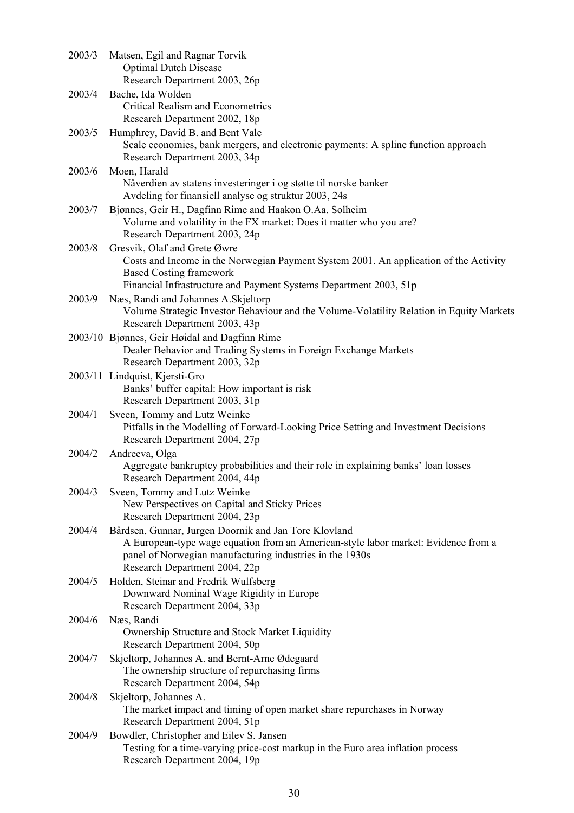| 2003/3 | Matsen, Egil and Ragnar Torvik<br><b>Optimal Dutch Disease</b><br>Research Department 2003, 26p                                                                                                                                          |
|--------|------------------------------------------------------------------------------------------------------------------------------------------------------------------------------------------------------------------------------------------|
| 2003/4 | Bache, Ida Wolden<br><b>Critical Realism and Econometrics</b><br>Research Department 2002, 18p                                                                                                                                           |
| 2003/5 | Humphrey, David B. and Bent Vale<br>Scale economies, bank mergers, and electronic payments: A spline function approach<br>Research Department 2003, 34p                                                                                  |
| 2003/6 | Moen, Harald<br>Nåverdien av statens investeringer i og støtte til norske banker<br>Avdeling for finansiell analyse og struktur 2003, 24s                                                                                                |
| 2003/7 | Bjønnes, Geir H., Dagfinn Rime and Haakon O.Aa. Solheim<br>Volume and volatility in the FX market: Does it matter who you are?<br>Research Department 2003, 24p                                                                          |
| 2003/8 | Gresvik, Olaf and Grete Øwre<br>Costs and Income in the Norwegian Payment System 2001. An application of the Activity<br><b>Based Costing framework</b><br>Financial Infrastructure and Payment Systems Department 2003, 51p             |
| 2003/9 | Næs, Randi and Johannes A. Skjeltorp<br>Volume Strategic Investor Behaviour and the Volume-Volatility Relation in Equity Markets<br>Research Department 2003, 43p                                                                        |
|        | 2003/10 Bjønnes, Geir Høidal and Dagfinn Rime<br>Dealer Behavior and Trading Systems in Foreign Exchange Markets<br>Research Department 2003, 32p                                                                                        |
|        | 2003/11 Lindquist, Kjersti-Gro<br>Banks' buffer capital: How important is risk<br>Research Department 2003, 31p                                                                                                                          |
| 2004/1 | Sveen, Tommy and Lutz Weinke<br>Pitfalls in the Modelling of Forward-Looking Price Setting and Investment Decisions<br>Research Department 2004, 27p                                                                                     |
| 2004/2 | Andreeva, Olga<br>Aggregate bankruptcy probabilities and their role in explaining banks' loan losses<br>Research Department 2004, 44p                                                                                                    |
| 2004/3 | Sveen, Tommy and Lutz Weinke<br>New Perspectives on Capital and Sticky Prices<br>Research Department 2004, 23p                                                                                                                           |
| 2004/4 | Bårdsen, Gunnar, Jurgen Doornik and Jan Tore Klovland<br>A European-type wage equation from an American-style labor market: Evidence from a<br>panel of Norwegian manufacturing industries in the 1930s<br>Research Department 2004, 22p |
| 2004/5 | Holden, Steinar and Fredrik Wulfsberg<br>Downward Nominal Wage Rigidity in Europe<br>Research Department 2004, 33p                                                                                                                       |
| 2004/6 | Næs, Randi<br>Ownership Structure and Stock Market Liquidity<br>Research Department 2004, 50p                                                                                                                                            |
| 2004/7 | Skjeltorp, Johannes A. and Bernt-Arne Ødegaard<br>The ownership structure of repurchasing firms<br>Research Department 2004, 54p                                                                                                         |
| 2004/8 | Skjeltorp, Johannes A.<br>The market impact and timing of open market share repurchases in Norway<br>Research Department 2004, 51p                                                                                                       |
| 2004/9 | Bowdler, Christopher and Eilev S. Jansen<br>Testing for a time-varying price-cost markup in the Euro area inflation process<br>Research Department 2004, 19p                                                                             |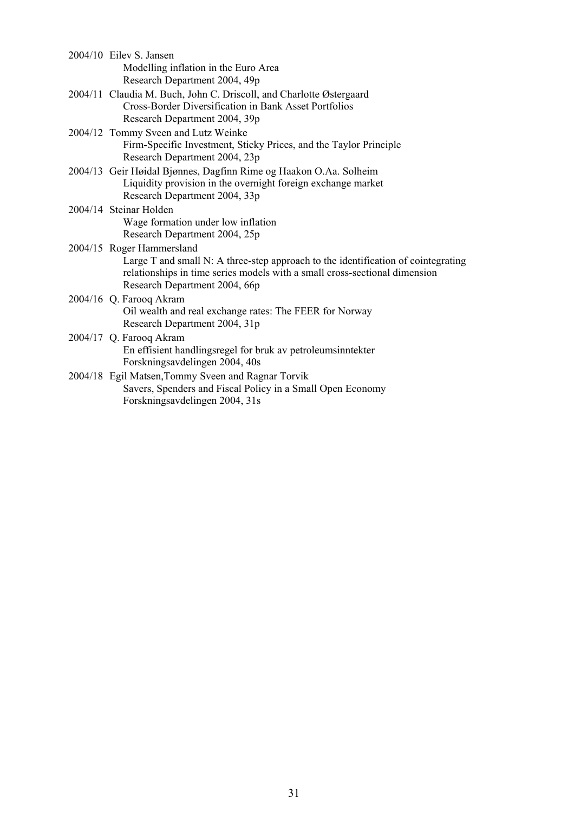| 2004/10 Eilev S. Jansen<br>Modelling inflation in the Euro Area<br>Research Department 2004, 49p                                                                                                                              |
|-------------------------------------------------------------------------------------------------------------------------------------------------------------------------------------------------------------------------------|
| 2004/11 Claudia M. Buch, John C. Driscoll, and Charlotte Østergaard<br>Cross-Border Diversification in Bank Asset Portfolios<br>Research Department 2004, 39p                                                                 |
| 2004/12 Tommy Sveen and Lutz Weinke<br>Firm-Specific Investment, Sticky Prices, and the Taylor Principle<br>Research Department 2004, 23p                                                                                     |
| 2004/13 Geir Høidal Bjønnes, Dagfinn Rime og Haakon O.Aa. Solheim<br>Liquidity provision in the overnight foreign exchange market<br>Research Department 2004, 33p                                                            |
| 2004/14 Steinar Holden<br>Wage formation under low inflation<br>Research Department 2004, 25p                                                                                                                                 |
| 2004/15 Roger Hammersland<br>Large T and small N: A three-step approach to the identification of cointegrating<br>relationships in time series models with a small cross-sectional dimension<br>Research Department 2004, 66p |
| 2004/16 Q. Farooq Akram<br>Oil wealth and real exchange rates: The FEER for Norway<br>Research Department 2004, 31p                                                                                                           |
| 2004/17 Q. Farooq Akram<br>En effisient handlingsregel for bruk av petroleumsinntekter<br>Forskningsavdelingen 2004, 40s                                                                                                      |
| 2004/18 Egil Matsen, Tommy Sveen and Ragnar Torvik<br>Savers, Spenders and Fiscal Policy in a Small Open Economy<br>Forskningsavdelingen 2004, 31s                                                                            |